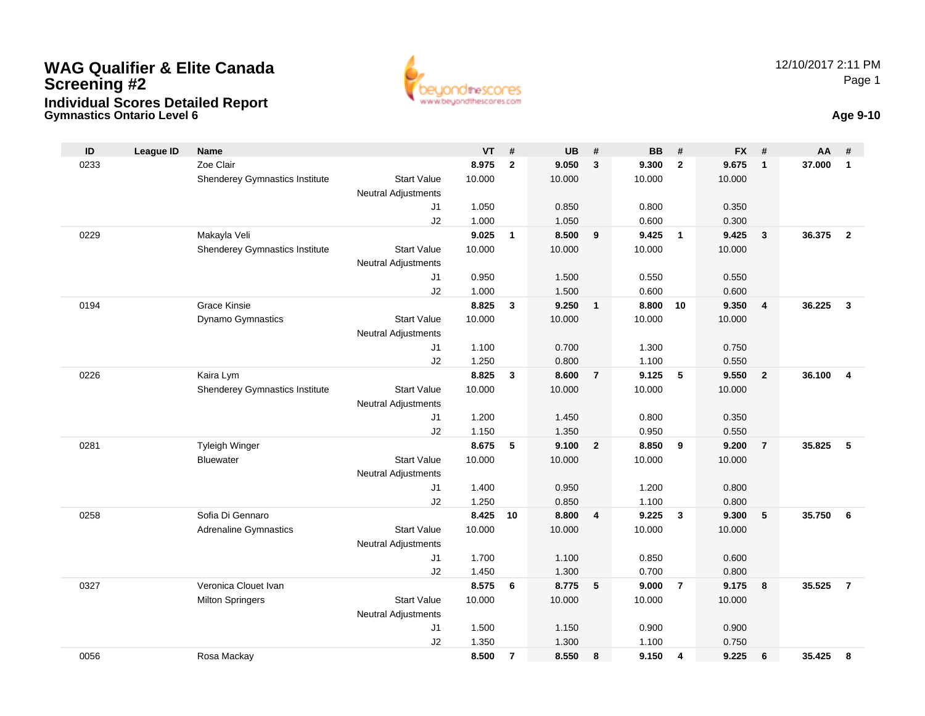### **Gymnastics Ontario Level 6 Age 9-10 WAG Qualifier & Elite CanadaScreening #2Individual Scores Detailed Report**



| ID   | <b>League ID</b> | <b>Name</b>                                 |                            | <b>VT</b>      | #              | <b>UB</b>      | #                       | <b>BB</b>      | #              | <b>FX</b>      | #                       | AA     | #                       |
|------|------------------|---------------------------------------------|----------------------------|----------------|----------------|----------------|-------------------------|----------------|----------------|----------------|-------------------------|--------|-------------------------|
| 0233 |                  | Zoe Clair                                   |                            | 8.975          | $\overline{2}$ | 9.050          | $\overline{\mathbf{3}}$ | 9.300          | $\overline{2}$ | 9.675          | $\overline{1}$          | 37.000 | $\mathbf{1}$            |
|      |                  | Shenderey Gymnastics Institute              | <b>Start Value</b>         | 10.000         |                | 10.000         |                         | 10.000         |                | 10.000         |                         |        |                         |
|      |                  |                                             | <b>Neutral Adjustments</b> |                |                |                |                         |                |                |                |                         |        |                         |
|      |                  |                                             | J1                         | 1.050          |                | 0.850          |                         | 0.800          |                | 0.350          |                         |        |                         |
|      |                  |                                             | J2                         | 1.000          |                | 1.050          |                         | 0.600          |                | 0.300          |                         |        |                         |
| 0229 |                  | Makayla Veli                                |                            | 9.025          | $\mathbf{1}$   | 8.500          | 9                       | 9.425          | $\overline{1}$ | 9.425          | $\overline{\mathbf{3}}$ | 36,375 | $\overline{2}$          |
|      |                  | Shenderey Gymnastics Institute              | <b>Start Value</b>         | 10.000         |                | 10.000         |                         | 10.000         |                | 10.000         |                         |        |                         |
|      |                  |                                             | <b>Neutral Adjustments</b> |                |                |                |                         |                |                |                |                         |        |                         |
|      |                  |                                             | J1                         | 0.950          |                | 1.500          |                         | 0.550          |                | 0.550          |                         |        |                         |
|      |                  |                                             | J <sub>2</sub>             | 1.000          |                | 1.500          |                         | 0.600          |                | 0.600          |                         |        |                         |
| 0194 |                  | <b>Grace Kinsie</b>                         |                            | 8.825          | 3              | 9.250          | $\mathbf{1}$            | 8.800          | 10             | 9.350          | $\overline{4}$          | 36.225 | $\overline{\mathbf{3}}$ |
|      |                  | <b>Dynamo Gymnastics</b>                    | <b>Start Value</b>         | 10.000         |                | 10.000         |                         | 10.000         |                | 10.000         |                         |        |                         |
|      |                  |                                             | <b>Neutral Adjustments</b> |                |                |                |                         |                |                |                |                         |        |                         |
|      |                  |                                             | J1                         | 1.100          |                | 0.700          |                         | 1.300          |                | 0.750          |                         |        |                         |
| 0226 |                  |                                             | J2                         | 1.250<br>8.825 | 3              | 0.800<br>8.600 | $\overline{7}$          | 1.100<br>9.125 | 5              | 0.550<br>9.550 | $\overline{\mathbf{2}}$ | 36.100 | $\overline{4}$          |
|      |                  | Kaira Lym<br>Shenderey Gymnastics Institute | <b>Start Value</b>         | 10.000         |                | 10.000         |                         | 10.000         |                | 10.000         |                         |        |                         |
|      |                  |                                             | <b>Neutral Adjustments</b> |                |                |                |                         |                |                |                |                         |        |                         |
|      |                  |                                             | J1                         | 1.200          |                | 1.450          |                         | 0.800          |                | 0.350          |                         |        |                         |
|      |                  |                                             | J <sub>2</sub>             | 1.150          |                | 1.350          |                         | 0.950          |                | 0.550          |                         |        |                         |
| 0281 |                  | <b>Tyleigh Winger</b>                       |                            | 8.675          | 5              | 9.100          | $\overline{2}$          | 8.850          | 9              | 9.200          | $\overline{7}$          | 35.825 | 5                       |
|      |                  | <b>Bluewater</b>                            | <b>Start Value</b>         | 10.000         |                | 10.000         |                         | 10.000         |                | 10.000         |                         |        |                         |
|      |                  |                                             | <b>Neutral Adjustments</b> |                |                |                |                         |                |                |                |                         |        |                         |
|      |                  |                                             | J1                         | 1.400          |                | 0.950          |                         | 1.200          |                | 0.800          |                         |        |                         |
|      |                  |                                             | J2                         | 1.250          |                | 0.850          |                         | 1.100          |                | 0.800          |                         |        |                         |
| 0258 |                  | Sofia Di Gennaro                            |                            | 8.425          | 10             | 8.800          | 4                       | 9.225          | $\mathbf{3}$   | 9.300          | $5\phantom{1}$          | 35.750 | 6                       |
|      |                  | <b>Adrenaline Gymnastics</b>                | <b>Start Value</b>         | 10.000         |                | 10.000         |                         | 10.000         |                | 10.000         |                         |        |                         |
|      |                  |                                             | <b>Neutral Adjustments</b> |                |                |                |                         |                |                |                |                         |        |                         |
|      |                  |                                             | J1                         | 1.700          |                | 1.100          |                         | 0.850          |                | 0.600          |                         |        |                         |
|      |                  |                                             | J2                         | 1.450          |                | 1.300          |                         | 0.700          |                | 0.800          |                         |        |                         |
| 0327 |                  | Veronica Clouet Ivan                        |                            | 8.575          | 6              | 8.775          | 5                       | 9.000          | $\overline{7}$ | 9.175          | 8                       | 35.525 | $\overline{7}$          |
|      |                  | <b>Milton Springers</b>                     | <b>Start Value</b>         | 10.000         |                | 10.000         |                         | 10.000         |                | 10.000         |                         |        |                         |
|      |                  |                                             | <b>Neutral Adjustments</b> |                |                |                |                         |                |                |                |                         |        |                         |
|      |                  |                                             | J <sub>1</sub>             | 1.500          |                | 1.150          |                         | 0.900          |                | 0.900          |                         |        |                         |
|      |                  |                                             | J2                         | 1.350          |                | 1.300          |                         | 1.100          |                | 0.750          |                         |        |                         |
| 0056 |                  | Rosa Mackay                                 |                            | 8.500          | $\overline{7}$ | 8.550          | 8                       | 9.150          | $\overline{4}$ | 9.225          | 6                       | 35.425 | 8                       |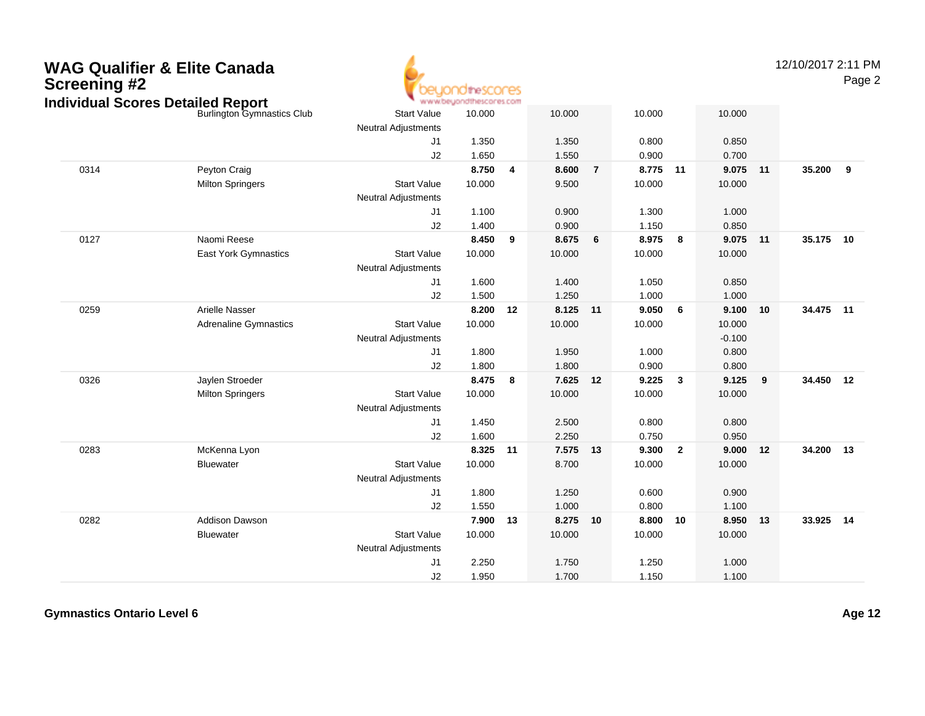

12/10/2017 2:11 PMPage 2

|      | hdividual Scores Detalled Report |                            | - www.beyondthescores.com |    |          |                |        |              |          |                         |           |   |
|------|----------------------------------|----------------------------|---------------------------|----|----------|----------------|--------|--------------|----------|-------------------------|-----------|---|
|      | Burlington Gymnastics Club       | <b>Start Value</b>         | 10.000                    |    | 10.000   |                | 10.000 |              | 10.000   |                         |           |   |
|      |                                  | <b>Neutral Adjustments</b> |                           |    |          |                |        |              |          |                         |           |   |
|      |                                  | J1                         | 1.350                     |    | 1.350    |                | 0.800  |              | 0.850    |                         |           |   |
|      |                                  | J2                         | 1.650                     |    | 1.550    |                | 0.900  |              | 0.700    |                         |           |   |
| 0314 | Peyton Craig                     |                            | 8.750                     | 4  | 8.600    | $\overline{7}$ | 8.775  | 11           | 9.075 11 |                         | 35.200    | 9 |
|      | <b>Milton Springers</b>          | <b>Start Value</b>         | 10.000                    |    | 9.500    |                | 10.000 |              | 10.000   |                         |           |   |
|      |                                  | <b>Neutral Adjustments</b> |                           |    |          |                |        |              |          |                         |           |   |
|      |                                  | J1                         | 1.100                     |    | 0.900    |                | 1.300  |              | 1.000    |                         |           |   |
|      |                                  | J2                         | 1.400                     |    | 0.900    |                | 1.150  |              | 0.850    |                         |           |   |
| 0127 | Naomi Reese                      |                            | 8.450                     | 9  | 8.675    | $\bf 6$        | 8.975  | 8            | 9.075 11 |                         | 35.175 10 |   |
|      | East York Gymnastics             | <b>Start Value</b>         | 10.000                    |    | 10.000   |                | 10.000 |              | 10.000   |                         |           |   |
|      |                                  | <b>Neutral Adjustments</b> |                           |    |          |                |        |              |          |                         |           |   |
|      |                                  | J1                         | 1.600                     |    | 1.400    |                | 1.050  |              | 0.850    |                         |           |   |
|      |                                  | J2                         | 1.500                     |    | 1.250    |                | 1.000  |              | 1.000    |                         |           |   |
| 0259 | Arielle Nasser                   |                            | 8.200                     | 12 | 8.125 11 |                | 9.050  | 6            | 9.100 10 |                         | 34.475 11 |   |
|      | <b>Adrenaline Gymnastics</b>     | <b>Start Value</b>         | 10.000                    |    | 10.000   |                | 10.000 |              | 10.000   |                         |           |   |
|      |                                  | <b>Neutral Adjustments</b> |                           |    |          |                |        |              | $-0.100$ |                         |           |   |
|      |                                  | J1                         | 1.800                     |    | 1.950    |                | 1.000  |              | 0.800    |                         |           |   |
|      |                                  | J2                         | 1.800                     |    | 1.800    |                | 0.900  |              | 0.800    |                         |           |   |
| 0326 | Jaylen Stroeder                  |                            | 8.475                     | 8  | 7.625    | 12             | 9.225  | $\mathbf{3}$ | 9.125    | $\overline{\mathbf{9}}$ | 34.450 12 |   |
|      | <b>Milton Springers</b>          | <b>Start Value</b>         | 10.000                    |    | 10.000   |                | 10.000 |              | 10.000   |                         |           |   |
|      |                                  | Neutral Adjustments        |                           |    |          |                |        |              |          |                         |           |   |
|      |                                  | J1                         | 1.450                     |    | 2.500    |                | 0.800  |              | 0.800    |                         |           |   |
|      |                                  | J2                         | 1.600                     |    | 2.250    |                | 0.750  |              | 0.950    |                         |           |   |
| 0283 | McKenna Lyon                     |                            | 8.325                     | 11 | 7.575    | 13             | 9.300  | $\mathbf{2}$ | 9.000    | 12                      | 34.200 13 |   |
|      | Bluewater                        | <b>Start Value</b>         | 10.000                    |    | 8.700    |                | 10.000 |              | 10.000   |                         |           |   |
|      |                                  | <b>Neutral Adjustments</b> |                           |    |          |                |        |              |          |                         |           |   |
|      |                                  | J1                         | 1.800                     |    | 1.250    |                | 0.600  |              | 0.900    |                         |           |   |
|      |                                  | J2                         | 1.550                     |    | 1.000    |                | 0.800  |              | 1.100    |                         |           |   |
| 0282 | <b>Addison Dawson</b>            |                            | 7.900                     | 13 | 8.275 10 |                | 8.800  | 10           | 8.950 13 |                         | 33.925 14 |   |
|      | <b>Bluewater</b>                 | <b>Start Value</b>         | 10.000                    |    | 10.000   |                | 10.000 |              | 10.000   |                         |           |   |
|      |                                  | Neutral Adjustments        |                           |    |          |                |        |              |          |                         |           |   |
|      |                                  | J <sub>1</sub>             | 2.250                     |    | 1.750    |                | 1.250  |              | 1.000    |                         |           |   |
|      |                                  | J2                         | 1.950                     |    | 1.700    |                | 1.150  |              | 1.100    |                         |           |   |
|      |                                  |                            |                           |    |          |                |        |              |          |                         |           |   |

**Gymnastics Ontario Level 6**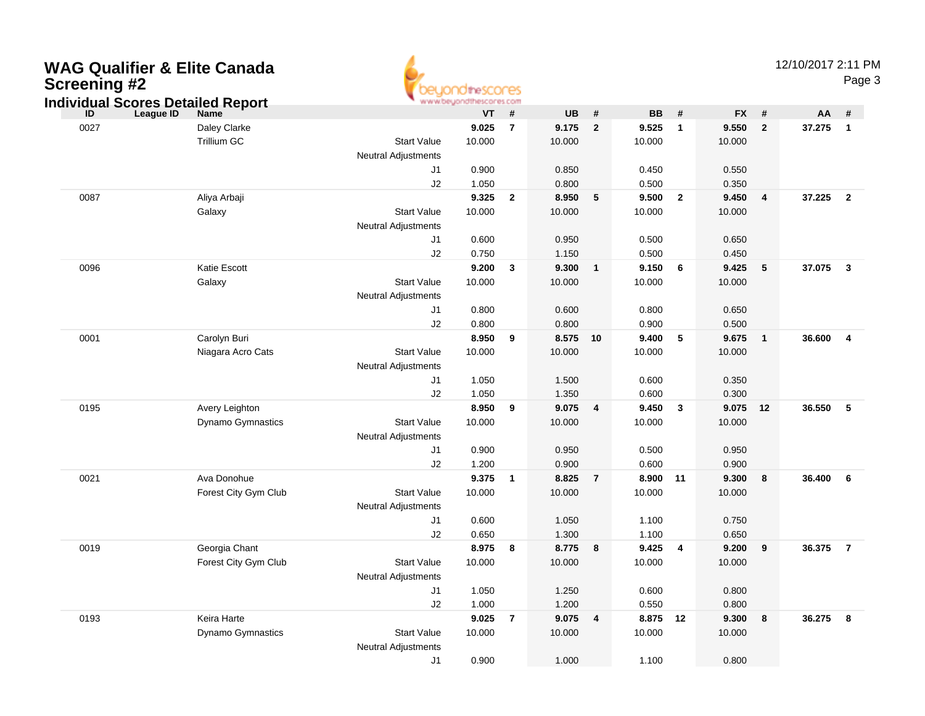| <b>WAG Qualifier &amp; Elite Canada</b><br><b>Screening #2</b><br><b>Individual Scores Detailed Report</b> |                      |                                                  | idtheSCONES<br>www.beyondthescores.com |                         |        |                         |           |                         |           |                | 12/10/2017 2:11 PM | Page 3                  |  |
|------------------------------------------------------------------------------------------------------------|----------------------|--------------------------------------------------|----------------------------------------|-------------------------|--------|-------------------------|-----------|-------------------------|-----------|----------------|--------------------|-------------------------|--|
| League ID<br>ID                                                                                            | <b>Name</b>          |                                                  | <b>VT</b>                              | #                       | UB     | #                       | <b>BB</b> | #                       | <b>FX</b> | #              | AA                 | #                       |  |
| 0027                                                                                                       | Daley Clarke         |                                                  | 9.025                                  | $\overline{7}$          | 9.175  | $\overline{2}$          | 9.525     | $\overline{1}$          | 9.550     | $\overline{2}$ | 37.275             | $\overline{1}$          |  |
|                                                                                                            | Trillium GC          | <b>Start Value</b><br><b>Neutral Adjustments</b> | 10.000                                 |                         | 10.000 |                         | 10.000    |                         | 10.000    |                |                    |                         |  |
|                                                                                                            |                      | J1                                               | 0.900                                  |                         | 0.850  |                         | 0.450     |                         | 0.550     |                |                    |                         |  |
|                                                                                                            |                      | J2                                               | 1.050                                  |                         | 0.800  |                         | 0.500     |                         | 0.350     |                |                    |                         |  |
| 0087                                                                                                       | Aliya Arbaji         |                                                  | 9.325                                  | $\overline{2}$          | 8.950  | 5                       | 9.500     | $\overline{\mathbf{2}}$ | 9.450     | 4              | 37.225             | $\overline{\mathbf{2}}$ |  |
|                                                                                                            | Galaxy               | <b>Start Value</b><br><b>Neutral Adjustments</b> | 10.000                                 |                         | 10.000 |                         | 10.000    |                         | 10.000    |                |                    |                         |  |
|                                                                                                            |                      | J1                                               | 0.600                                  |                         | 0.950  |                         | 0.500     |                         | 0.650     |                |                    |                         |  |
|                                                                                                            |                      | J2                                               | 0.750                                  |                         | 1.150  |                         | 0.500     |                         | 0.450     |                |                    |                         |  |
| 0096                                                                                                       | Katie Escott         |                                                  | 9.200                                  | $\mathbf{3}$            | 9.300  | $\mathbf{1}$            | 9.150     | - 6                     | 9.425     | 5              | 37.075             | $\overline{\mathbf{3}}$ |  |
|                                                                                                            | Galaxy               | <b>Start Value</b><br><b>Neutral Adjustments</b> | 10.000                                 |                         | 10.000 |                         | 10.000    |                         | 10.000    |                |                    |                         |  |
|                                                                                                            |                      | J1                                               | 0.800                                  |                         | 0.600  |                         | 0.800     |                         | 0.650     |                |                    |                         |  |
|                                                                                                            |                      | J2                                               | 0.800                                  |                         | 0.800  |                         | 0.900     |                         | 0.500     |                |                    |                         |  |
| 0001                                                                                                       | Carolyn Buri         |                                                  | 8.950                                  | 9                       | 8.575  | 10                      | 9.400     | $\sqrt{5}$              | 9.675     | $\mathbf{1}$   | 36.600             | $\overline{4}$          |  |
|                                                                                                            | Niagara Acro Cats    | <b>Start Value</b><br><b>Neutral Adjustments</b> | 10.000                                 |                         | 10.000 |                         | 10.000    |                         | 10.000    |                |                    |                         |  |
|                                                                                                            |                      | J1                                               | 1.050                                  |                         | 1.500  |                         | 0.600     |                         | 0.350     |                |                    |                         |  |
|                                                                                                            |                      | J2                                               | 1.050                                  |                         | 1.350  |                         | 0.600     |                         | 0.300     |                |                    |                         |  |
| 0195                                                                                                       | Avery Leighton       |                                                  | 8.950                                  | 9                       | 9.075  | 4                       | 9.450     | $\mathbf{3}$            | 9.075     | 12             | 36.550             | 5                       |  |
|                                                                                                            | Dynamo Gymnastics    | <b>Start Value</b><br><b>Neutral Adjustments</b> | 10.000                                 |                         | 10.000 |                         | 10.000    |                         | 10.000    |                |                    |                         |  |
|                                                                                                            |                      | J1                                               | 0.900                                  |                         | 0.950  |                         | 0.500     |                         | 0.950     |                |                    |                         |  |
|                                                                                                            |                      | J2                                               | 1.200                                  |                         | 0.900  |                         | 0.600     |                         | 0.900     |                |                    |                         |  |
| 0021                                                                                                       | Ava Donohue          |                                                  | 9.375                                  | $\overline{\mathbf{1}}$ | 8.825  | $\overline{7}$          | 8.900 11  |                         | 9.300     | 8              | 36.400             | 6                       |  |
|                                                                                                            | Forest City Gym Club | <b>Start Value</b><br><b>Neutral Adjustments</b> | 10.000                                 |                         | 10.000 |                         | 10.000    |                         | 10.000    |                |                    |                         |  |
|                                                                                                            |                      | J1                                               | 0.600                                  |                         | 1.050  |                         | 1.100     |                         | 0.750     |                |                    |                         |  |
|                                                                                                            |                      | J <sub>2</sub>                                   | 0.650                                  |                         | 1.300  |                         | 1.100     |                         | 0.650     |                |                    |                         |  |
| 0019                                                                                                       | Georgia Chant        |                                                  | 8.975                                  | 8                       | 8.775  | 8                       | 9.425     | 4                       | 9.200     | 9              | 36.375             | $\overline{7}$          |  |
|                                                                                                            | Forest City Gym Club | <b>Start Value</b><br><b>Neutral Adjustments</b> | 10.000                                 |                         | 10.000 |                         | 10.000    |                         | 10.000    |                |                    |                         |  |
|                                                                                                            |                      | J1                                               | 1.050                                  |                         | 1.250  |                         | 0.600     |                         | 0.800     |                |                    |                         |  |
|                                                                                                            |                      | J2                                               | 1.000                                  |                         | 1.200  |                         | 0.550     |                         | 0.800     |                |                    |                         |  |
| 0193                                                                                                       | Keira Harte          |                                                  | $9.025$ 7                              |                         | 9.075  | $\overline{\mathbf{4}}$ | 8.875 12  |                         | 9.300     | 8              | 36.275 8           |                         |  |
|                                                                                                            | Dynamo Gymnastics    | <b>Start Value</b><br><b>Neutral Adjustments</b> | 10.000                                 |                         | 10.000 |                         | 10.000    |                         | 10.000    |                |                    |                         |  |
|                                                                                                            |                      | J1                                               | 0.900                                  |                         | 1.000  |                         | 1.100     |                         | 0.800     |                |                    |                         |  |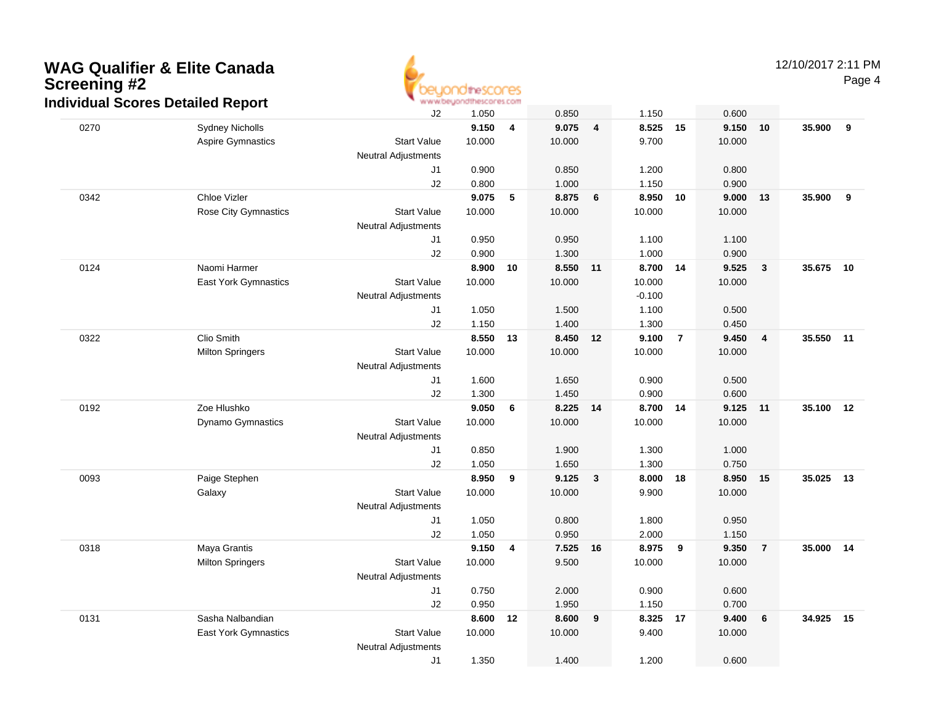

|      | idividuai Scores Detalled Report |                            | WWW.UUQUU KHI NOLOH VOLUIT |    |                |    |                |                |                |                         |           |    |
|------|----------------------------------|----------------------------|----------------------------|----|----------------|----|----------------|----------------|----------------|-------------------------|-----------|----|
|      |                                  | J2                         | 1.050                      |    | 0.850          |    | 1.150          |                | 0.600          |                         |           |    |
| 0270 | <b>Sydney Nicholls</b>           |                            | 9.150                      | 4  | 9.075          | 4  | 8.525 15       |                | 9.150 10       |                         | 35.900    | 9  |
|      | <b>Aspire Gymnastics</b>         | <b>Start Value</b>         | 10.000                     |    | 10.000         |    | 9.700          |                | 10.000         |                         |           |    |
|      |                                  | <b>Neutral Adjustments</b> |                            |    |                |    |                |                |                |                         |           |    |
|      |                                  | J1                         | 0.900                      |    | 0.850          |    | 1.200          |                | 0.800          |                         |           |    |
|      |                                  | J2                         | 0.800                      |    | 1.000          |    | 1.150          |                | 0.900          |                         |           |    |
| 0342 | Chloe Vizler                     |                            | 9.075                      | 5  | 8.875          | 6  | 8.950          | 10             | 9.000          | 13                      | 35.900    | 9  |
|      | <b>Rose City Gymnastics</b>      | <b>Start Value</b>         | 10.000                     |    | 10.000         |    | 10.000         |                | 10.000         |                         |           |    |
|      |                                  | <b>Neutral Adjustments</b> |                            |    |                |    |                |                |                |                         |           |    |
|      |                                  | J1                         | 0.950                      |    | 0.950          |    | 1.100          |                | 1.100          |                         |           |    |
|      |                                  | J2                         | 0.900                      |    | 1.300          |    | 1.000          |                | 0.900          |                         |           |    |
| 0124 | Naomi Harmer                     |                            | 8.900                      | 10 | 8.550 11       |    | 8.700 14       |                | 9.525          | $\overline{\mathbf{3}}$ | 35.675    | 10 |
|      | <b>East York Gymnastics</b>      | <b>Start Value</b>         | 10.000                     |    | 10.000         |    | 10.000         |                | 10.000         |                         |           |    |
|      |                                  | <b>Neutral Adjustments</b> |                            |    |                |    | $-0.100$       |                |                |                         |           |    |
|      |                                  | J1                         | 1.050                      |    | 1.500          |    | 1.100          |                | 0.500          |                         |           |    |
|      |                                  | J2                         | 1.150                      |    | 1.400          |    | 1.300          |                | 0.450          |                         |           |    |
| 0322 | Clio Smith                       |                            | 8.550                      | 13 | 8.450          | 12 | 9.100          | $\overline{7}$ | 9.450          | $\overline{\mathbf{4}}$ | 35.550 11 |    |
|      | <b>Milton Springers</b>          | <b>Start Value</b>         | 10.000                     |    | 10.000         |    | 10.000         |                | 10.000         |                         |           |    |
|      |                                  | <b>Neutral Adjustments</b> |                            |    |                |    |                |                |                |                         |           |    |
|      |                                  | J1                         | 1.600                      |    | 1.650          |    | 0.900          |                | 0.500          |                         |           |    |
|      |                                  | J2                         | 1.300                      |    | 1.450          |    | 0.900          |                | 0.600          |                         |           |    |
| 0192 | Zoe Hlushko                      |                            | 9.050                      | 6  | 8.225          | 14 | 8.700          | 14             | 9.125 11       |                         | 35.100    | 12 |
|      | Dynamo Gymnastics                | <b>Start Value</b>         | 10.000                     |    | 10.000         |    | 10.000         |                | 10.000         |                         |           |    |
|      |                                  | <b>Neutral Adjustments</b> |                            |    |                |    |                |                |                |                         |           |    |
|      |                                  | J1                         | 0.850                      |    | 1.900          |    | 1.300          |                | 1.000          |                         |           |    |
|      |                                  | J2                         | 1.050                      |    | 1.650          |    | 1.300          |                | 0.750          |                         |           |    |
| 0093 | Paige Stephen                    |                            | 8.950                      | 9  | 9.125          | 3  | 8.000          | 18             | 8.950          | 15                      | 35.025    | 13 |
|      | Galaxy                           | <b>Start Value</b>         | 10.000                     |    | 10.000         |    | 9.900          |                | 10.000         |                         |           |    |
|      |                                  | <b>Neutral Adjustments</b> |                            |    |                |    |                |                |                |                         |           |    |
|      |                                  | J1<br>J2                   | 1.050<br>1.050             |    | 0.800<br>0.950 |    | 1.800<br>2.000 |                | 0.950          |                         |           |    |
| 0318 | Maya Grantis                     |                            | 9.150                      | 4  | 7.525 16       |    | 8.975          | 9              | 1.150<br>9.350 |                         | 35.000    | 14 |
|      |                                  | <b>Start Value</b>         | 10.000                     |    | 9.500          |    | 10.000         |                | 10.000         | $\overline{7}$          |           |    |
|      | <b>Milton Springers</b>          | <b>Neutral Adjustments</b> |                            |    |                |    |                |                |                |                         |           |    |
|      |                                  | J1                         | 0.750                      |    | 2.000          |    | 0.900          |                | 0.600          |                         |           |    |
|      |                                  | J2                         | 0.950                      |    | 1.950          |    | 1.150          |                | 0.700          |                         |           |    |
| 0131 | Sasha Nalbandian                 |                            | 8.600                      | 12 | 8.600          |    | 8.325 17       |                | 9.400          | 6                       | 34.925    | 15 |
|      | East York Gymnastics             | <b>Start Value</b>         | 10.000                     |    | 10.000         | 9  | 9.400          |                | 10.000         |                         |           |    |
|      |                                  | <b>Neutral Adjustments</b> |                            |    |                |    |                |                |                |                         |           |    |
|      |                                  | J1                         | 1.350                      |    | 1.400          |    | 1.200          |                | 0.600          |                         |           |    |
|      |                                  |                            |                            |    |                |    |                |                |                |                         |           |    |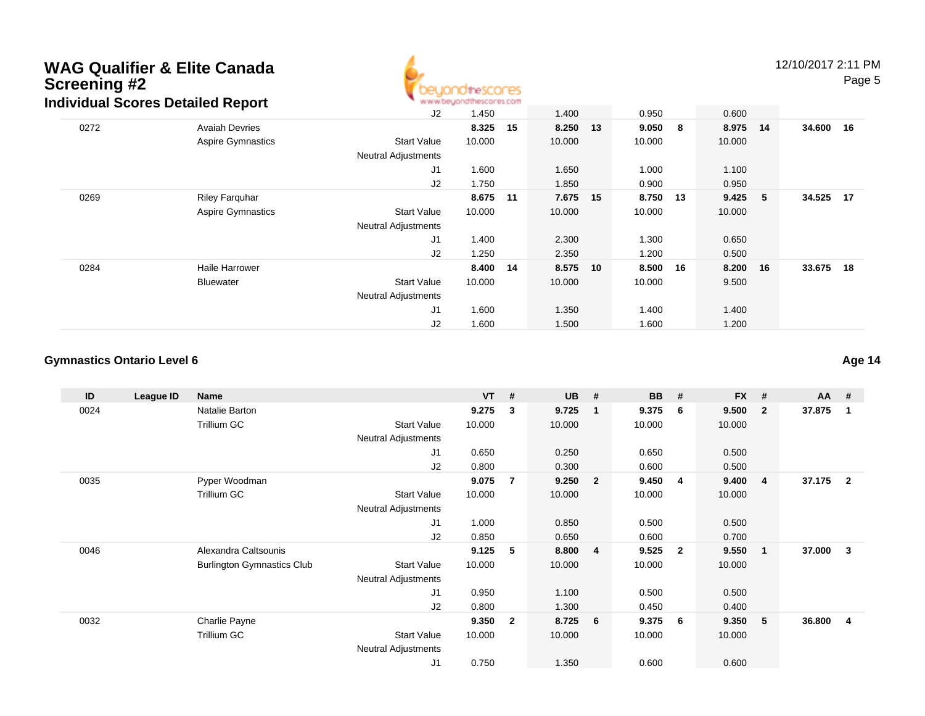

12/10/2017 2:11 PMPage 5

|      | andaan oconce Detailed Nepolit |                            |        |    |        |      |          |          |     |           |  |
|------|--------------------------------|----------------------------|--------|----|--------|------|----------|----------|-----|-----------|--|
|      |                                | J2                         | 1.450  |    | 1.400  |      | 0.950    | 0.600    |     |           |  |
| 0272 | <b>Avaiah Devries</b>          |                            | 8.325  | 15 | 8.250  | - 13 | 9.050 8  | 8.975 14 |     | 34.600 16 |  |
|      | <b>Aspire Gymnastics</b>       | <b>Start Value</b>         | 10.000 |    | 10.000 |      | 10.000   | 10.000   |     |           |  |
|      |                                | <b>Neutral Adjustments</b> |        |    |        |      |          |          |     |           |  |
|      |                                | J1                         | 1.600  |    | 1.650  |      | 1.000    | 1.100    |     |           |  |
|      |                                | J2                         | 1.750  |    | 1.850  |      | 0.900    | 0.950    |     |           |  |
| 0269 | <b>Riley Farquhar</b>          |                            | 8.675  | 11 | 7.675  | 15   | 8.750 13 | 9.425    | - 5 | 34.525 17 |  |
|      | <b>Aspire Gymnastics</b>       | <b>Start Value</b>         | 10.000 |    | 10.000 |      | 10.000   | 10.000   |     |           |  |
|      |                                | <b>Neutral Adjustments</b> |        |    |        |      |          |          |     |           |  |
|      |                                | J1                         | 1.400  |    | 2.300  |      | 1.300    | 0.650    |     |           |  |
|      |                                | J <sub>2</sub>             | 1.250  |    | 2.350  |      | 1.200    | 0.500    |     |           |  |
| 0284 | Haile Harrower                 |                            | 8.400  | 14 | 8.575  | 10   | 8.500 16 | 8.200 16 |     | 33.675 18 |  |
|      | Bluewater                      | <b>Start Value</b>         | 10.000 |    | 10.000 |      | 10.000   | 9.500    |     |           |  |
|      |                                | <b>Neutral Adjustments</b> |        |    |        |      |          |          |     |           |  |
|      |                                | J1                         | 1.600  |    | 1.350  |      | 1.400    | 1.400    |     |           |  |
|      |                                | J2                         | 1.600  |    | 1.500  |      | 1.600    | 1.200    |     |           |  |

#### **Gymnastics Ontario Level 6**

**ID League ID Name VT # UB # BB # FX # AA #** 0024 Natalie Barton **9.275 <sup>3</sup> 9.725 <sup>1</sup> 9.375 <sup>6</sup> 9.500 <sup>2</sup> 37.875 <sup>1</sup>** Trillium GCC 313 Start Value 10.000 10.000 10.000 10.000 10.000 Neutral Adjustments J1 0.650 0.250 0.650 0.500 J2 0.800 0.300 0.600 0.500 0035 Pyper Woodman **9.075 <sup>7</sup> 9.250 <sup>2</sup> 9.450 <sup>4</sup> 9.400 <sup>4</sup> 37.175 <sup>2</sup>** Trillium GCC 313 Start Value 10.000 10.000 10.000 10.000 10.000 Neutral Adjustments J1 1.000 0.850 0.500 0.500 J2 0.850 0.650 0.600 0.700 0046 Alexandra Caltsounis **9.125 <sup>5</sup> 8.800 <sup>4</sup> 9.525 <sup>2</sup> 9.550 <sup>1</sup> 37.000 <sup>3</sup>** Burlington Gymnastics Clubb 3tart Value 10.000 10.000 10.000 10.000 10.000 Neutral Adjustments J1 0.950 1.100 0.500 0.500 J2 0.800 1.300 0.450 0.400 0032 Charlie Payne **9.350 <sup>2</sup> 8.725 <sup>6</sup> 9.375 <sup>6</sup> 9.350 <sup>5</sup> 36.800 <sup>4</sup>** Trillium GCC 313 Start Value 10.000 10.000 10.000 10.000 10.000 Neutral Adjustments J10.750 1.350 0.600 0.600

**Age 14**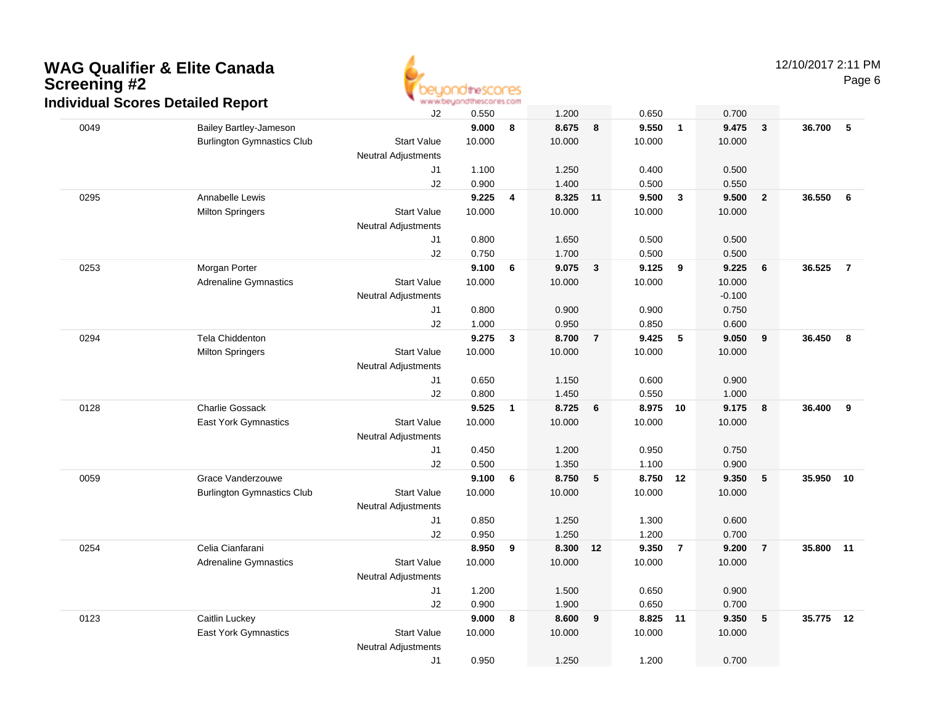

|      | idividual Scores Detalled Report  |                            | WWW.UUQUU KHI NGCUI VOLUIT |   |                |                  |                |                |                |                         |           |                |
|------|-----------------------------------|----------------------------|----------------------------|---|----------------|------------------|----------------|----------------|----------------|-------------------------|-----------|----------------|
|      |                                   | J2                         | 0.550                      |   | 1.200          |                  | 0.650          |                | 0.700          |                         |           |                |
| 0049 | Bailey Bartley-Jameson            |                            | 9.000                      | 8 | 8.675          | 8                | 9.550          | $\overline{1}$ | 9.475          | $\overline{\mathbf{3}}$ | 36.700    | 5              |
|      | <b>Burlington Gymnastics Club</b> | <b>Start Value</b>         | 10.000                     |   | 10.000         |                  | 10.000         |                | 10.000         |                         |           |                |
|      |                                   | Neutral Adjustments        |                            |   |                |                  |                |                |                |                         |           |                |
|      |                                   | J1                         | 1.100                      |   | 1.250          |                  | 0.400          |                | 0.500          |                         |           |                |
|      |                                   | J2                         | 0.900                      |   | 1.400          |                  | 0.500          |                | 0.550          |                         |           |                |
| 0295 | Annabelle Lewis                   |                            | 9.225                      | 4 | 8.325          | 11               | 9.500          | $\mathbf{3}$   | 9.500          | $\overline{2}$          | 36.550    | 6              |
|      | <b>Milton Springers</b>           | <b>Start Value</b>         | 10.000                     |   | 10.000         |                  | 10.000         |                | 10.000         |                         |           |                |
|      |                                   | Neutral Adjustments        |                            |   |                |                  |                |                |                |                         |           |                |
|      |                                   | J1                         | 0.800                      |   | 1.650          |                  | 0.500          |                | 0.500          |                         |           |                |
|      |                                   | J2                         | 0.750                      |   | 1.700          |                  | 0.500          |                | 0.500          |                         |           |                |
| 0253 | Morgan Porter                     |                            | 9.100                      | 6 | 9.075          | $\mathbf{3}$     | 9.125          | 9              | 9.225          | 6                       | 36.525    | $\overline{7}$ |
|      | <b>Adrenaline Gymnastics</b>      | <b>Start Value</b>         | 10.000                     |   | 10.000         |                  | 10.000         |                | 10.000         |                         |           |                |
|      |                                   | Neutral Adjustments        |                            |   |                |                  |                |                | $-0.100$       |                         |           |                |
|      |                                   | J1                         | 0.800                      |   | 0.900          |                  | 0.900          |                | 0.750          |                         |           |                |
|      |                                   | J2                         | 1.000                      |   | 0.950          |                  | 0.850          |                | 0.600          |                         |           |                |
| 0294 | Tela Chiddenton                   |                            | 9.275                      | 3 | 8.700          | $\overline{7}$   | 9.425          | 5              | 9.050          | 9                       | 36.450    | 8              |
|      | <b>Milton Springers</b>           | <b>Start Value</b>         | 10.000                     |   | 10.000         |                  | 10.000         |                | 10.000         |                         |           |                |
|      |                                   | Neutral Adjustments        |                            |   |                |                  |                |                |                |                         |           |                |
|      |                                   | J1                         | 0.650                      |   | 1.150          |                  | 0.600          |                | 0.900          |                         |           |                |
|      |                                   | J2                         | 0.800                      |   | 1.450          |                  | 0.550          |                | 1.000          |                         |           |                |
| 0128 | <b>Charlie Gossack</b>            |                            | 9.525                      | 1 | 8.725          | $\bf 6$          | 8.975 10       |                | 9.175          | $\boldsymbol{8}$        | 36.400    | 9              |
|      | East York Gymnastics              | <b>Start Value</b>         | 10.000                     |   | 10.000         |                  | 10.000         |                | 10.000         |                         |           |                |
|      |                                   | <b>Neutral Adjustments</b> |                            |   |                |                  |                |                |                |                         |           |                |
|      |                                   | J1<br>J2                   | 0.450                      |   | 1.200          |                  | 0.950          |                | 0.750          |                         |           |                |
| 0059 | Grace Vanderzouwe                 |                            | 0.500<br>9.100             | 6 | 1.350<br>8.750 | 5                | 1.100<br>8.750 |                | 0.900<br>9.350 | $\sqrt{5}$              | 35.950    | 10             |
|      | <b>Burlington Gymnastics Club</b> | <b>Start Value</b>         | 10.000                     |   | 10.000         |                  | 10.000         | 12             | 10.000         |                         |           |                |
|      |                                   | Neutral Adjustments        |                            |   |                |                  |                |                |                |                         |           |                |
|      |                                   | J1                         | 0.850                      |   | 1.250          |                  | 1.300          |                | 0.600          |                         |           |                |
|      |                                   | J2                         | 0.950                      |   | 1.250          |                  | 1.200          |                | 0.700          |                         |           |                |
| 0254 | Celia Cianfarani                  |                            | 8.950                      | 9 | 8.300 12       |                  | 9.350          | $\overline{7}$ | 9.200          | $\overline{7}$          | 35.800 11 |                |
|      | <b>Adrenaline Gymnastics</b>      | <b>Start Value</b>         | 10.000                     |   | 10.000         |                  | 10.000         |                | 10.000         |                         |           |                |
|      |                                   | <b>Neutral Adjustments</b> |                            |   |                |                  |                |                |                |                         |           |                |
|      |                                   | J1                         | 1.200                      |   | 1.500          |                  | 0.650          |                | 0.900          |                         |           |                |
|      |                                   | J2                         | 0.900                      |   | 1.900          |                  | 0.650          |                | 0.700          |                         |           |                |
| 0123 | Caitlin Luckey                    |                            | 9.000                      | 8 | 8.600          | $\boldsymbol{9}$ | 8.825 11       |                | 9.350          | 5                       | 35.775 12 |                |
|      | East York Gymnastics              | <b>Start Value</b>         | 10.000                     |   | 10.000         |                  | 10.000         |                | 10.000         |                         |           |                |
|      |                                   | <b>Neutral Adjustments</b> |                            |   |                |                  |                |                |                |                         |           |                |
|      |                                   | J1                         | 0.950                      |   | 1.250          |                  | 1.200          |                | 0.700          |                         |           |                |
|      |                                   |                            |                            |   |                |                  |                |                |                |                         |           |                |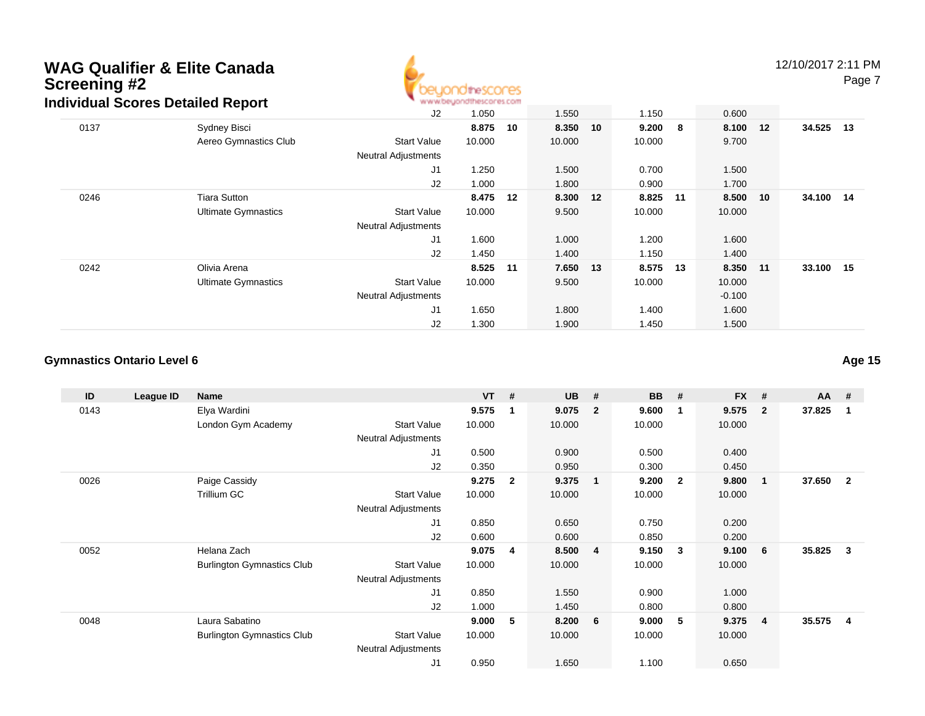

12/10/2017 2:11 PM

Page 7

|      |                            | J2                         | 1.050  |    | 1.550  |    | 1.150    |   | 0.600    |    |           |  |
|------|----------------------------|----------------------------|--------|----|--------|----|----------|---|----------|----|-----------|--|
| 0137 | Sydney Bisci               |                            | 8.875  | 10 | 8.350  | 10 | 9.200    | 8 | 8.100    | 12 | 34.525 13 |  |
|      | Aereo Gymnastics Club      | <b>Start Value</b>         | 10.000 |    | 10.000 |    | 10.000   |   | 9.700    |    |           |  |
|      |                            | <b>Neutral Adjustments</b> |        |    |        |    |          |   |          |    |           |  |
|      |                            | J <sub>1</sub>             | 1.250  |    | 1.500  |    | 0.700    |   | 1.500    |    |           |  |
|      |                            | J2                         | 1.000  |    | 1.800  |    | 0.900    |   | 1.700    |    |           |  |
| 0246 | <b>Tiara Sutton</b>        |                            | 8.475  | 12 | 8.300  | 12 | 8.825 11 |   | 8.500    | 10 | 34.100 14 |  |
|      | <b>Ultimate Gymnastics</b> | <b>Start Value</b>         | 10.000 |    | 9.500  |    | 10.000   |   | 10.000   |    |           |  |
|      |                            | <b>Neutral Adjustments</b> |        |    |        |    |          |   |          |    |           |  |
|      |                            | J <sub>1</sub>             | 1.600  |    | 1.000  |    | 1.200    |   | 1.600    |    |           |  |
|      |                            | J2                         | 1.450  |    | 1.400  |    | 1.150    |   | 1.400    |    |           |  |
| 0242 | Olivia Arena               |                            | 8.525  | 11 | 7.650  | 13 | 8.575 13 |   | 8.350 11 |    | 33.100 15 |  |
|      | <b>Ultimate Gymnastics</b> | <b>Start Value</b>         | 10.000 |    | 9.500  |    | 10.000   |   | 10.000   |    |           |  |
|      |                            | <b>Neutral Adjustments</b> |        |    |        |    |          |   | $-0.100$ |    |           |  |
|      |                            | J <sub>1</sub>             | 1.650  |    | 1.800  |    | 1.400    |   | 1.600    |    |           |  |
|      |                            | J2                         | 1.300  |    | 1.900  |    | 1.450    |   | 1.500    |    |           |  |

#### **Gymnastics Ontario Level 6**

**ID League ID Name VT # UB # BB # FX # AA #** 0143 Elya Wardini **9.575 <sup>1</sup> 9.075 <sup>2</sup> 9.600 <sup>1</sup> 9.575 <sup>2</sup> 37.825 <sup>1</sup>** London Gym Academy Start Valuee 10.000 10.000 10.000 10.000 Neutral Adjustments J1 0.500 0.900 0.500 0.400 J2 0.350 0.950 0.300 0.450 0026 Paige Cassidy **9.275 <sup>2</sup> 9.375 <sup>1</sup> 9.200 <sup>2</sup> 9.800 <sup>1</sup> 37.650 <sup>2</sup>** Trillium GCC 313 Start Value 10.000 10.000 10.000 10.000 10.000 Neutral Adjustments J1 0.850 0.650 0.750 0.200 J2 0.600 0.600 0.850 0.200 0052 Helana Zach **9.075 <sup>4</sup> 8.500 <sup>4</sup> 9.150 <sup>3</sup> 9.100 <sup>6</sup> 35.825 <sup>3</sup>** Burlington Gymnastics Clubb 3tart Value 10.000 10.000 10.000 10.000 10.000 Neutral Adjustments J1 0.850 1.550 0.900 1.000 J2 1.000 1.450 0.800 0.800 0048 Laura Sabatino **9.000 <sup>5</sup> 8.200 <sup>6</sup> 9.000 <sup>5</sup> 9.375 <sup>4</sup> 35.575 <sup>4</sup>** Burlington Gymnastics Clubb 3tart Value 10.000 10.000 10.000 10.000 10.000 Neutral Adjustments J10.950 1.650 1.100 0.650

**Age 15**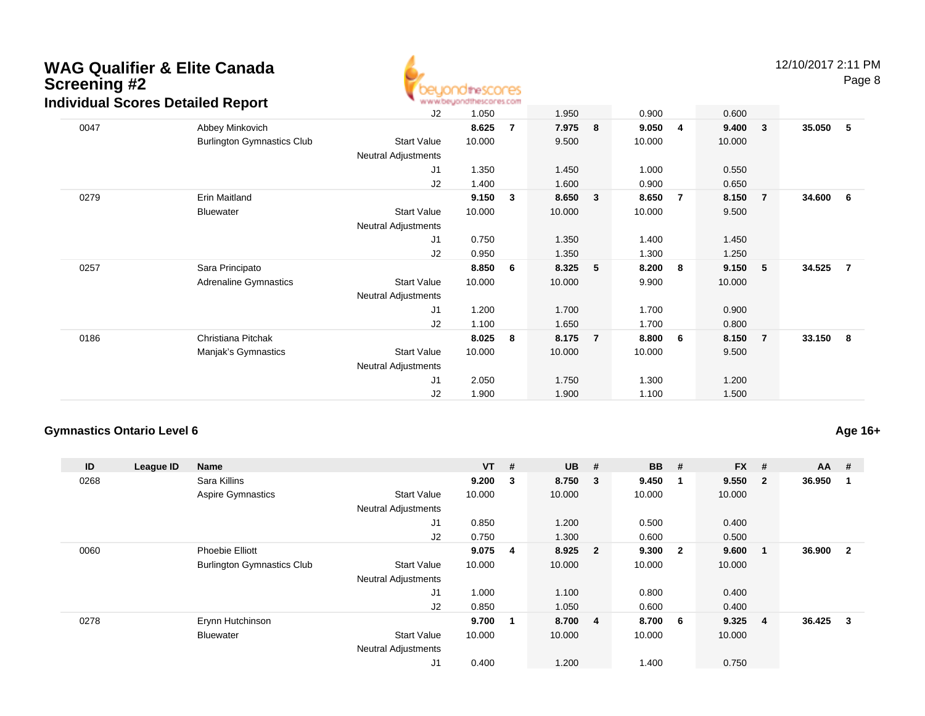

|      | idividual Scores Detalled Report  |                            | W.M.M.DB/JOUQILIBROULB2.COM |                |        |                |        |   |        |                |        |                |
|------|-----------------------------------|----------------------------|-----------------------------|----------------|--------|----------------|--------|---|--------|----------------|--------|----------------|
|      |                                   | J2                         | 1.050                       |                | 1.950  |                | 0.900  |   | 0.600  |                |        |                |
| 0047 | Abbey Minkovich                   |                            | 8.625                       | $\overline{7}$ | 7.975  | 8              | 9.050  | 4 | 9.400  | $\mathbf{3}$   | 35.050 | 5              |
|      | <b>Burlington Gymnastics Club</b> | <b>Start Value</b>         | 10.000                      |                | 9.500  |                | 10.000 |   | 10.000 |                |        |                |
|      |                                   | <b>Neutral Adjustments</b> |                             |                |        |                |        |   |        |                |        |                |
|      |                                   | J1                         | 1.350                       |                | 1.450  |                | 1.000  |   | 0.550  |                |        |                |
|      |                                   | J <sub>2</sub>             | 1.400                       |                | 1.600  |                | 0.900  |   | 0.650  |                |        |                |
| 0279 | Erin Maitland                     |                            | 9.150                       | 3              | 8.650  | 3              | 8.650  | 7 | 8.150  | $\overline{7}$ | 34.600 | 6              |
|      | <b>Bluewater</b>                  | <b>Start Value</b>         | 10.000                      |                | 10.000 |                | 10.000 |   | 9.500  |                |        |                |
|      |                                   | <b>Neutral Adjustments</b> |                             |                |        |                |        |   |        |                |        |                |
|      |                                   | J <sub>1</sub>             | 0.750                       |                | 1.350  |                | 1.400  |   | 1.450  |                |        |                |
|      |                                   | J <sub>2</sub>             | 0.950                       |                | 1.350  |                | 1.300  |   | 1.250  |                |        |                |
| 0257 | Sara Principato                   |                            | 8.850                       | 6              | 8.325  | 5              | 8.200  | 8 | 9.150  | 5 <sub>o</sub> | 34.525 | $\overline{7}$ |
|      | <b>Adrenaline Gymnastics</b>      | <b>Start Value</b>         | 10.000                      |                | 10.000 |                | 9.900  |   | 10.000 |                |        |                |
|      |                                   | <b>Neutral Adjustments</b> |                             |                |        |                |        |   |        |                |        |                |
|      |                                   | J <sub>1</sub>             | 1.200                       |                | 1.700  |                | 1.700  |   | 0.900  |                |        |                |
|      |                                   | J <sub>2</sub>             | 1.100                       |                | 1.650  |                | 1.700  |   | 0.800  |                |        |                |
| 0186 | Christiana Pitchak                |                            | 8.025                       | 8              | 8.175  | $\overline{7}$ | 8.800  | 6 | 8.150  | $\overline{7}$ | 33.150 | - 8            |
|      | Manjak's Gymnastics               | <b>Start Value</b>         | 10.000                      |                | 10.000 |                | 10.000 |   | 9.500  |                |        |                |
|      |                                   | <b>Neutral Adjustments</b> |                             |                |        |                |        |   |        |                |        |                |
|      |                                   | J1                         | 2.050                       |                | 1.750  |                | 1.300  |   | 1.200  |                |        |                |
|      |                                   | J <sub>2</sub>             | 1.900                       |                | 1.900  |                | 1.100  |   | 1.500  |                |        |                |
|      |                                   |                            |                             |                |        |                |        |   |        |                |        |                |

### **Gymnastics Ontario Level 6**

**Age 16+**

| ID   | League ID | <b>Name</b>                       |                            | $VT$ # |                | <b>UB</b> | #                       | <b>BB</b> | #                       | <b>FX</b> | #              | $AA$ # |                |
|------|-----------|-----------------------------------|----------------------------|--------|----------------|-----------|-------------------------|-----------|-------------------------|-----------|----------------|--------|----------------|
| 0268 |           | Sara Killins                      |                            | 9.200  | 3              | 8.750     | $\overline{\mathbf{3}}$ | 9.450     | -1                      | 9.550     | $\overline{2}$ | 36.950 |                |
|      |           | <b>Aspire Gymnastics</b>          | <b>Start Value</b>         | 10.000 |                | 10.000    |                         | 10.000    |                         | 10.000    |                |        |                |
|      |           |                                   | <b>Neutral Adjustments</b> |        |                |           |                         |           |                         |           |                |        |                |
|      |           |                                   | J1                         | 0.850  |                | 1.200     |                         | 0.500     |                         | 0.400     |                |        |                |
|      |           |                                   | J2                         | 0.750  |                | 1.300     |                         | 0.600     |                         | 0.500     |                |        |                |
| 0060 |           | <b>Phoebie Elliott</b>            |                            | 9.075  | $\overline{4}$ | 8.925 2   |                         | 9.300     | $\overline{\mathbf{2}}$ | 9.600     | -1             | 36.900 | $\overline{2}$ |
|      |           | <b>Burlington Gymnastics Club</b> | <b>Start Value</b>         | 10.000 |                | 10.000    |                         | 10.000    |                         | 10.000    |                |        |                |
|      |           |                                   | <b>Neutral Adjustments</b> |        |                |           |                         |           |                         |           |                |        |                |
|      |           |                                   | J <sub>1</sub>             | 1.000  |                | 1.100     |                         | 0.800     |                         | 0.400     |                |        |                |
|      |           |                                   | J2                         | 0.850  |                | 1.050     |                         | 0.600     |                         | 0.400     |                |        |                |
| 0278 |           | Erynn Hutchinson                  |                            | 9.700  | 1              | 8.700 4   |                         | 8.700     | 6                       | 9.325     | $\overline{4}$ | 36.425 | 3              |
|      |           | <b>Bluewater</b>                  | <b>Start Value</b>         | 10.000 |                | 10.000    |                         | 10.000    |                         | 10.000    |                |        |                |
|      |           |                                   | <b>Neutral Adjustments</b> |        |                |           |                         |           |                         |           |                |        |                |
|      |           |                                   | J1                         | 0.400  |                | 1.200     |                         | 1.400     |                         | 0.750     |                |        |                |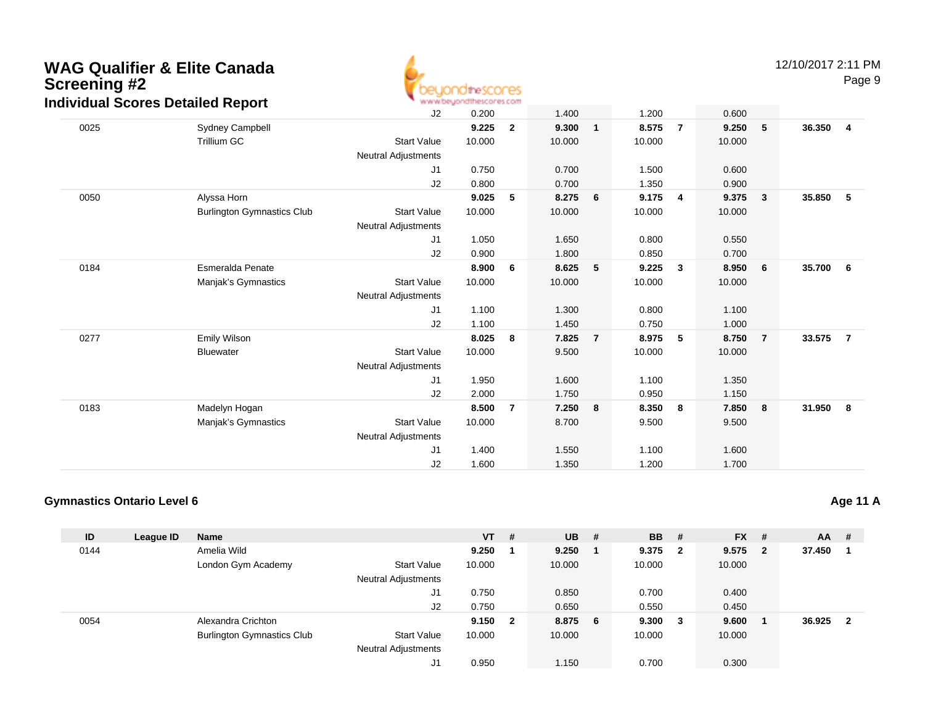

|      | dividual Scores Detailed Report   |                            | <b>BE BE ARVIVE/WHI USE IN SPACING IN SUPPORTS</b> |                |        |                |        |                |        |                         |        |                 |
|------|-----------------------------------|----------------------------|----------------------------------------------------|----------------|--------|----------------|--------|----------------|--------|-------------------------|--------|-----------------|
|      |                                   | J2                         | 0.200                                              |                | 1.400  |                | 1.200  |                | 0.600  |                         |        |                 |
| 0025 | Sydney Campbell                   |                            | 9.225                                              | $\mathbf{2}$   | 9.300  | $\mathbf{1}$   | 8.575  | $\overline{7}$ | 9.250  | 5                       | 36.350 | $\overline{4}$  |
|      | <b>Trillium GC</b>                | <b>Start Value</b>         | 10.000                                             |                | 10.000 |                | 10.000 |                | 10.000 |                         |        |                 |
|      |                                   | <b>Neutral Adjustments</b> |                                                    |                |        |                |        |                |        |                         |        |                 |
|      |                                   | J <sub>1</sub>             | 0.750                                              |                | 0.700  |                | 1.500  |                | 0.600  |                         |        |                 |
|      |                                   | J2                         | 0.800                                              |                | 0.700  |                | 1.350  |                | 0.900  |                         |        |                 |
| 0050 | Alyssa Horn                       |                            | 9.025                                              | 5              | 8.275  | 6              | 9.175  | 4              | 9.375  | $\overline{\mathbf{3}}$ | 35.850 | 5               |
|      | <b>Burlington Gymnastics Club</b> | <b>Start Value</b>         | 10.000                                             |                | 10.000 |                | 10.000 |                | 10.000 |                         |        |                 |
|      |                                   | <b>Neutral Adjustments</b> |                                                    |                |        |                |        |                |        |                         |        |                 |
|      |                                   | J1                         | 1.050                                              |                | 1.650  |                | 0.800  |                | 0.550  |                         |        |                 |
|      |                                   | J2                         | 0.900                                              |                | 1.800  |                | 0.850  |                | 0.700  |                         |        |                 |
| 0184 | <b>Esmeralda Penate</b>           |                            | 8.900                                              | 6              | 8.625  | 5              | 9.225  | 3              | 8.950  | $6\phantom{.0}6$        | 35.700 | $6\overline{6}$ |
|      | Manjak's Gymnastics               | <b>Start Value</b>         | 10.000                                             |                | 10.000 |                | 10.000 |                | 10.000 |                         |        |                 |
|      |                                   | <b>Neutral Adjustments</b> |                                                    |                |        |                |        |                |        |                         |        |                 |
|      |                                   | J1                         | 1.100                                              |                | 1.300  |                | 0.800  |                | 1.100  |                         |        |                 |
|      |                                   | J2                         | 1.100                                              |                | 1.450  |                | 0.750  |                | 1.000  |                         |        |                 |
| 0277 | Emily Wilson                      |                            | 8.025                                              | 8              | 7.825  | $\overline{7}$ | 8.975  | 5              | 8.750  | $\overline{7}$          | 33.575 | $\overline{7}$  |
|      | <b>Bluewater</b>                  | <b>Start Value</b>         | 10.000                                             |                | 9.500  |                | 10.000 |                | 10.000 |                         |        |                 |
|      |                                   | <b>Neutral Adjustments</b> |                                                    |                |        |                |        |                |        |                         |        |                 |
|      |                                   | J1                         | 1.950                                              |                | 1.600  |                | 1.100  |                | 1.350  |                         |        |                 |
|      |                                   | J2                         | 2.000                                              |                | 1.750  |                | 0.950  |                | 1.150  |                         |        |                 |
| 0183 | Madelyn Hogan                     |                            | 8.500                                              | $\overline{7}$ | 7.250  | 8              | 8.350  | 8              | 7.850  | 8                       | 31.950 | 8               |
|      | Manjak's Gymnastics               | <b>Start Value</b>         | 10.000                                             |                | 8.700  |                | 9.500  |                | 9.500  |                         |        |                 |
|      |                                   | <b>Neutral Adjustments</b> |                                                    |                |        |                |        |                |        |                         |        |                 |
|      |                                   | J1                         | 1.400                                              |                | 1.550  |                | 1.100  |                | 1.600  |                         |        |                 |
|      |                                   | J <sub>2</sub>             | 1.600                                              |                | 1.350  |                | 1.200  |                | 1.700  |                         |        |                 |
|      |                                   |                            |                                                    |                |        |                |        |                |        |                         |        |                 |

### **Gymnastics Ontario Level 6**

| ID   | League ID | <b>Name</b>                       |                            | $VT$ # |              | $UB$ #  | <b>BB</b> | - #                     | $FX$ # |                         | <b>AA</b> | #              |
|------|-----------|-----------------------------------|----------------------------|--------|--------------|---------|-----------|-------------------------|--------|-------------------------|-----------|----------------|
| 0144 |           | Amelia Wild                       |                            | 9.250  |              | 9.250   | 9.375     | $\overline{\mathbf{2}}$ | 9.575  | $\overline{\mathbf{2}}$ | 37.450    |                |
|      |           | London Gym Academy                | <b>Start Value</b>         | 10.000 |              | 10.000  | 10.000    |                         | 10.000 |                         |           |                |
|      |           |                                   | <b>Neutral Adjustments</b> |        |              |         |           |                         |        |                         |           |                |
|      |           |                                   | J1                         | 0.750  |              | 0.850   | 0.700     |                         | 0.400  |                         |           |                |
|      |           |                                   | J2                         | 0.750  |              | 0.650   | 0.550     |                         | 0.450  |                         |           |                |
| 0054 |           | Alexandra Crichton                |                            | 9.150  | $\mathbf{2}$ | 8.875 6 | 9.300     | - 3                     | 9.600  |                         | 36.925    | $\overline{2}$ |
|      |           | <b>Burlington Gymnastics Club</b> | <b>Start Value</b>         | 10.000 |              | 10.000  | 10.000    |                         | 10.000 |                         |           |                |
|      |           |                                   | <b>Neutral Adjustments</b> |        |              |         |           |                         |        |                         |           |                |
|      |           |                                   | J1                         | 0.950  |              | 1.150   | 0.700     |                         | 0.300  |                         |           |                |

### **Age 11 A**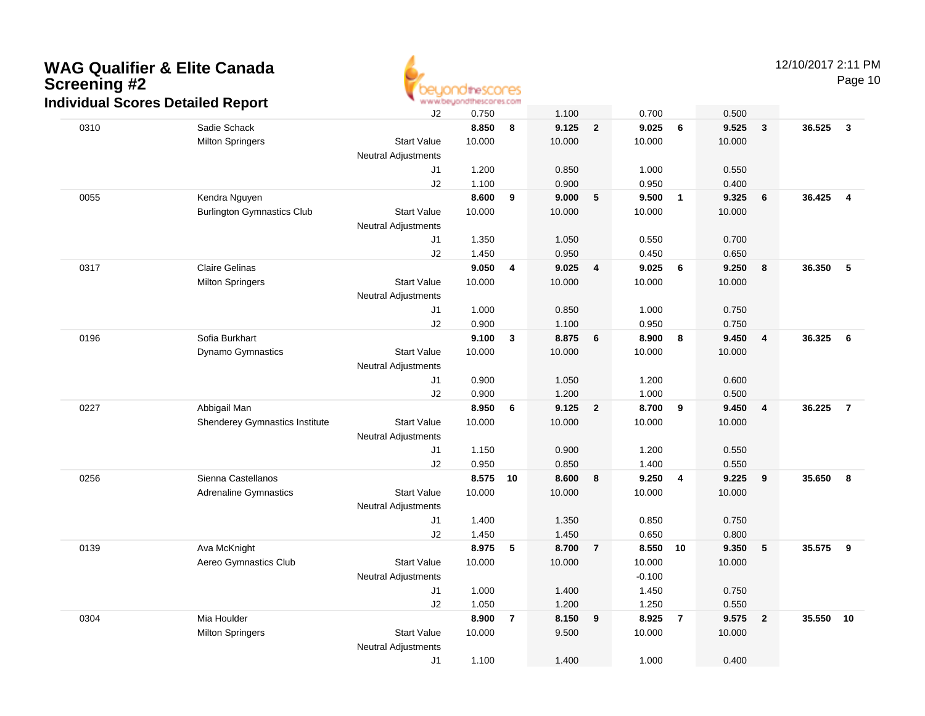

12/10/2017 2:11 PM

Page 10

|      | iurviuuai Ocores Detaileu Report  | J2                               | 0.750  |                | 1.100  |                | 0.700    |                | 0.500  |                |        |                 |
|------|-----------------------------------|----------------------------------|--------|----------------|--------|----------------|----------|----------------|--------|----------------|--------|-----------------|
| 0310 | Sadie Schack                      |                                  | 8.850  | 8              | 9.125  | $\overline{2}$ | 9.025    | 6              | 9.525  | $\mathbf{3}$   | 36.525 | $\mathbf{3}$    |
|      | <b>Milton Springers</b>           | <b>Start Value</b>               | 10.000 |                | 10.000 |                | 10.000   |                | 10.000 |                |        |                 |
|      |                                   | <b>Neutral Adjustments</b>       |        |                |        |                |          |                |        |                |        |                 |
|      |                                   | J1                               | 1.200  |                | 0.850  |                | 1.000    |                | 0.550  |                |        |                 |
|      |                                   | J2                               | 1.100  |                | 0.900  |                | 0.950    |                | 0.400  |                |        |                 |
| 0055 | Kendra Nguyen                     |                                  | 8.600  | 9              | 9.000  | 5              | 9.500    | $\overline{1}$ | 9.325  | 6              | 36.425 | $\overline{4}$  |
|      | <b>Burlington Gymnastics Club</b> | <b>Start Value</b>               | 10.000 |                | 10.000 |                | 10.000   |                | 10.000 |                |        |                 |
|      |                                   | <b>Neutral Adjustments</b>       |        |                |        |                |          |                |        |                |        |                 |
|      |                                   | J1                               | 1.350  |                | 1.050  |                | 0.550    |                | 0.700  |                |        |                 |
|      |                                   | J2                               | 1.450  |                | 0.950  |                | 0.450    |                | 0.650  |                |        |                 |
| 0317 | <b>Claire Gelinas</b>             |                                  | 9.050  | 4              | 9.025  | 4              | 9.025    | 6              | 9.250  | 8              | 36.350 | $5\phantom{.0}$ |
|      | <b>Milton Springers</b>           | <b>Start Value</b>               | 10.000 |                | 10.000 |                | 10.000   |                | 10.000 |                |        |                 |
|      |                                   | <b>Neutral Adjustments</b>       |        |                |        |                |          |                |        |                |        |                 |
|      |                                   | J1                               | 1.000  |                | 0.850  |                | 1.000    |                | 0.750  |                |        |                 |
|      |                                   | J2                               | 0.900  |                | 1.100  |                | 0.950    |                | 0.750  |                |        |                 |
| 0196 | Sofia Burkhart                    |                                  | 9.100  | 3              | 8.875  | 6              | 8.900    | 8              | 9.450  | $\overline{4}$ | 36.325 | - 6             |
|      | <b>Dynamo Gymnastics</b>          | <b>Start Value</b>               | 10.000 |                | 10.000 |                | 10.000   |                | 10.000 |                |        |                 |
|      |                                   | <b>Neutral Adjustments</b><br>J1 | 0.900  |                | 1.050  |                | 1.200    |                | 0.600  |                |        |                 |
|      |                                   | J2                               | 0.900  |                | 1.200  |                | 1.000    |                | 0.500  |                |        |                 |
| 0227 | Abbigail Man                      |                                  | 8.950  | 6              | 9.125  | $\mathbf{2}$   | 8.700    | 9              | 9.450  | $\overline{4}$ | 36.225 | $\overline{7}$  |
|      | Shenderey Gymnastics Institute    | <b>Start Value</b>               | 10.000 |                | 10.000 |                | 10.000   |                | 10.000 |                |        |                 |
|      |                                   | <b>Neutral Adjustments</b>       |        |                |        |                |          |                |        |                |        |                 |
|      |                                   | J1                               | 1.150  |                | 0.900  |                | 1.200    |                | 0.550  |                |        |                 |
|      |                                   | J2                               | 0.950  |                | 0.850  |                | 1.400    |                | 0.550  |                |        |                 |
| 0256 | Sienna Castellanos                |                                  | 8.575  | 10             | 8.600  | 8              | 9.250    | 4              | 9.225  | 9              | 35.650 | 8               |
|      | Adrenaline Gymnastics             | <b>Start Value</b>               | 10.000 |                | 10.000 |                | 10.000   |                | 10.000 |                |        |                 |
|      |                                   | <b>Neutral Adjustments</b>       |        |                |        |                |          |                |        |                |        |                 |
|      |                                   | J1                               | 1.400  |                | 1.350  |                | 0.850    |                | 0.750  |                |        |                 |
|      |                                   | J2                               | 1.450  |                | 1.450  |                | 0.650    |                | 0.800  |                |        |                 |
| 0139 | Ava McKnight                      |                                  | 8.975  | 5              | 8.700  | $\overline{7}$ | 8.550 10 |                | 9.350  | 5              | 35.575 | 9               |
|      | Aereo Gymnastics Club             | <b>Start Value</b>               | 10.000 |                | 10.000 |                | 10.000   |                | 10.000 |                |        |                 |
|      |                                   | <b>Neutral Adjustments</b>       |        |                |        |                | $-0.100$ |                |        |                |        |                 |
|      |                                   | J1                               | 1.000  |                | 1.400  |                | 1.450    |                | 0.750  |                |        |                 |
|      |                                   | J2                               | 1.050  |                | 1.200  |                | 1.250    |                | 0.550  |                |        |                 |
| 0304 | Mia Houlder                       |                                  | 8.900  | $\overline{7}$ | 8.150  | 9              | 8.925    | $\overline{7}$ | 9.575  | $\overline{2}$ | 35.550 | 10              |
|      | <b>Milton Springers</b>           | <b>Start Value</b>               | 10.000 |                | 9.500  |                | 10.000   |                | 10.000 |                |        |                 |
|      |                                   | <b>Neutral Adjustments</b>       |        |                |        |                |          |                |        |                |        |                 |
|      |                                   | J1                               | 1.100  |                | 1.400  |                | 1.000    |                | 0.400  |                |        |                 |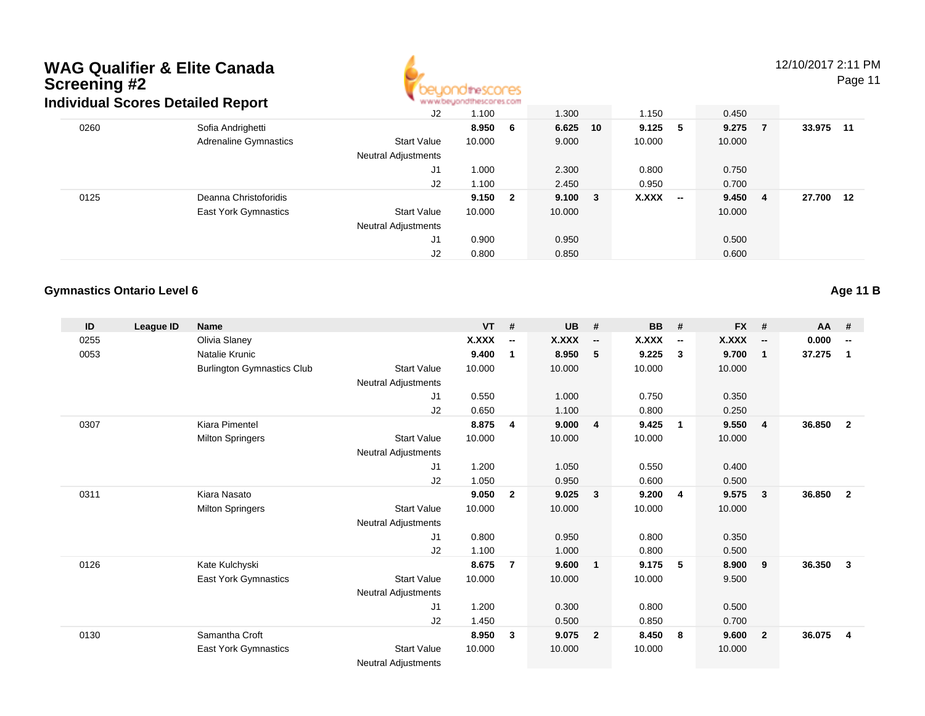

12/10/2017 2:11 PM

Page 11

| aividual Scores Detailed Report |                     | ALAI AI DIATA DA INTERNATI |                         |        |  |                          |                        |                      |       |
|---------------------------------|---------------------|----------------------------|-------------------------|--------|--|--------------------------|------------------------|----------------------|-------|
|                                 | J <sub>2</sub>      | 1.100                      |                         | 1.300  |  | 1.150                    | 0.450                  |                      |       |
| Sofia Andrighetti               |                     | 8.950                      | - 6                     |        |  |                          |                        | 33.975               | $-11$ |
| <b>Adrenaline Gymnastics</b>    | <b>Start Value</b>  | 10.000                     |                         | 9.000  |  | 10.000                   | 10.000                 |                      |       |
|                                 | Neutral Adjustments |                            |                         |        |  |                          |                        |                      |       |
|                                 | J1                  | 1.000                      |                         | 2.300  |  | 0.800                    | 0.750                  |                      |       |
|                                 | J2                  | 1.100                      |                         | 2.450  |  | 0.950                    | 0.700                  |                      |       |
| Deanna Christoforidis           |                     | 9.150                      | $\overline{\mathbf{2}}$ |        |  |                          |                        | 27.700               | 12    |
| <b>East York Gymnastics</b>     | <b>Start Value</b>  | 10.000                     |                         | 10.000 |  |                          | 10.000                 |                      |       |
|                                 | Neutral Adjustments |                            |                         |        |  |                          |                        |                      |       |
|                                 | J1                  | 0.900                      |                         | 0.950  |  |                          | 0.500                  |                      |       |
|                                 | J <sub>2</sub>      | 0.800                      |                         | 0.850  |  |                          | 0.600                  |                      |       |
|                                 |                     |                            |                         |        |  | 6.625 10<br>$9.100 \t 3$ | $9.125$ 5<br>$X.XXX$ - | $9.275$ 7<br>9.450 4 |       |

#### **Gymnastics Ontario Level 6**

**Age 11 B**

| ID   | League ID | <b>Name</b>                       |                            | <b>VT</b> | #                        | <b>UB</b>    | #                        | <b>BB</b>    | #                        | <b>FX</b>    | #                        | AA     | #                        |
|------|-----------|-----------------------------------|----------------------------|-----------|--------------------------|--------------|--------------------------|--------------|--------------------------|--------------|--------------------------|--------|--------------------------|
| 0255 |           | Olivia Slaney                     |                            | X.XXX     | $\overline{\phantom{a}}$ | <b>X.XXX</b> | $\overline{\phantom{a}}$ | <b>X.XXX</b> | $\overline{\phantom{a}}$ | <b>X.XXX</b> | $\overline{\phantom{a}}$ | 0.000  | $\overline{\phantom{a}}$ |
| 0053 |           | Natalie Krunic                    |                            | 9.400     | 1                        | 8.950        | - 5                      | 9.225        | 3                        | 9.700        | $\mathbf{1}$             | 37.275 | $\mathbf 1$              |
|      |           | <b>Burlington Gymnastics Club</b> | <b>Start Value</b>         | 10.000    |                          | 10.000       |                          | 10.000       |                          | 10.000       |                          |        |                          |
|      |           |                                   | Neutral Adjustments        |           |                          |              |                          |              |                          |              |                          |        |                          |
|      |           |                                   | J <sub>1</sub>             | 0.550     |                          | 1.000        |                          | 0.750        |                          | 0.350        |                          |        |                          |
|      |           |                                   | J <sub>2</sub>             | 0.650     |                          | 1.100        |                          | 0.800        |                          | 0.250        |                          |        |                          |
| 0307 |           | Kiara Pimentel                    |                            | 8.875     | 4                        | 9.000        | $\overline{\mathbf{4}}$  | 9.425        | -1                       | 9.550        | $\overline{4}$           | 36.850 | $\overline{2}$           |
|      |           | <b>Milton Springers</b>           | <b>Start Value</b>         | 10.000    |                          | 10.000       |                          | 10.000       |                          | 10.000       |                          |        |                          |
|      |           |                                   | Neutral Adjustments        |           |                          |              |                          |              |                          |              |                          |        |                          |
|      |           |                                   | J <sub>1</sub>             | 1.200     |                          | 1.050        |                          | 0.550        |                          | 0.400        |                          |        |                          |
|      |           |                                   | J <sub>2</sub>             | 1.050     |                          | 0.950        |                          | 0.600        |                          | 0.500        |                          |        |                          |
| 0311 |           | Kiara Nasato                      |                            | 9.050     | $\mathbf{2}$             | 9.025        | $\overline{\mathbf{3}}$  | 9.200        | $\overline{4}$           | 9.575        | 3                        | 36.850 | $\overline{2}$           |
|      |           | <b>Milton Springers</b>           | <b>Start Value</b>         | 10.000    |                          | 10.000       |                          | 10.000       |                          | 10.000       |                          |        |                          |
|      |           |                                   | Neutral Adjustments        |           |                          |              |                          |              |                          |              |                          |        |                          |
|      |           |                                   | J <sub>1</sub>             | 0.800     |                          | 0.950        |                          | 0.800        |                          | 0.350        |                          |        |                          |
|      |           |                                   | J <sub>2</sub>             | 1.100     |                          | 1.000        |                          | 0.800        |                          | 0.500        |                          |        |                          |
| 0126 |           | Kate Kulchyski                    |                            | 8.675     | $\overline{7}$           | 9.600        | $\blacksquare$           | 9.175        | 5                        | 8.900        | 9                        | 36.350 | 3                        |
|      |           | East York Gymnastics              | <b>Start Value</b>         | 10.000    |                          | 10.000       |                          | 10.000       |                          | 9.500        |                          |        |                          |
|      |           |                                   | <b>Neutral Adjustments</b> |           |                          |              |                          |              |                          |              |                          |        |                          |
|      |           |                                   | J <sub>1</sub>             | 1.200     |                          | 0.300        |                          | 0.800        |                          | 0.500        |                          |        |                          |
|      |           |                                   | J <sub>2</sub>             | 1.450     |                          | 0.500        |                          | 0.850        |                          | 0.700        |                          |        |                          |
| 0130 |           | Samantha Croft                    |                            | 8.950     | 3                        | 9.075        | $\overline{2}$           | 8.450        | 8                        | 9.600        | $\overline{2}$           | 36.075 | $\overline{4}$           |
|      |           | East York Gymnastics              | <b>Start Value</b>         | 10.000    |                          | 10.000       |                          | 10.000       |                          | 10.000       |                          |        |                          |
|      |           |                                   | <b>Neutral Adjustments</b> |           |                          |              |                          |              |                          |              |                          |        |                          |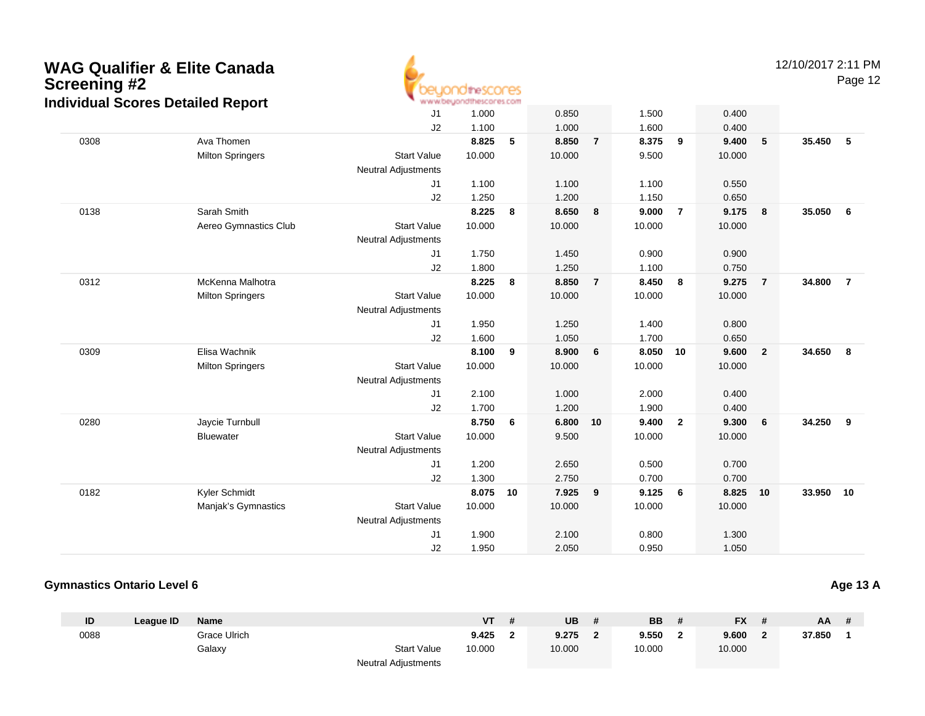

12/10/2017 2:11 PM

Page 12

|      |                         | J1                         | 1.000  |    | 0.850  |                | 1.500  |                | 0.400  |                         |           |                |
|------|-------------------------|----------------------------|--------|----|--------|----------------|--------|----------------|--------|-------------------------|-----------|----------------|
|      |                         | J2                         | 1.100  |    | 1.000  |                | 1.600  |                | 0.400  |                         |           |                |
| 0308 | Ava Thomen              |                            | 8.825  | 5  | 8.850  | $\overline{7}$ | 8.375  | 9              | 9.400  | $\sqrt{5}$              | 35.450    | $-5$           |
|      | <b>Milton Springers</b> | <b>Start Value</b>         | 10.000 |    | 10.000 |                | 9.500  |                | 10.000 |                         |           |                |
|      |                         | <b>Neutral Adjustments</b> |        |    |        |                |        |                |        |                         |           |                |
|      |                         | J1                         | 1.100  |    | 1.100  |                | 1.100  |                | 0.550  |                         |           |                |
|      |                         | J2                         | 1.250  |    | 1.200  |                | 1.150  |                | 0.650  |                         |           |                |
| 0138 | Sarah Smith             |                            | 8.225  | 8  | 8.650  | 8              | 9.000  | $\overline{7}$ | 9.175  | $\overline{\mathbf{8}}$ | 35.050    | 6              |
|      | Aereo Gymnastics Club   | <b>Start Value</b>         | 10.000 |    | 10.000 |                | 10.000 |                | 10.000 |                         |           |                |
|      |                         | <b>Neutral Adjustments</b> |        |    |        |                |        |                |        |                         |           |                |
|      |                         | J <sub>1</sub>             | 1.750  |    | 1.450  |                | 0.900  |                | 0.900  |                         |           |                |
|      |                         | J2                         | 1.800  |    | 1.250  |                | 1.100  |                | 0.750  |                         |           |                |
| 0312 | McKenna Malhotra        |                            | 8.225  | 8  | 8.850  | $\overline{7}$ | 8.450  | 8              | 9.275  | $\overline{7}$          | 34.800    | $\overline{7}$ |
|      | <b>Milton Springers</b> | <b>Start Value</b>         | 10.000 |    | 10.000 |                | 10.000 |                | 10.000 |                         |           |                |
|      |                         | <b>Neutral Adjustments</b> |        |    |        |                |        |                |        |                         |           |                |
|      |                         | J1                         | 1.950  |    | 1.250  |                | 1.400  |                | 0.800  |                         |           |                |
|      |                         | J2                         | 1.600  |    | 1.050  |                | 1.700  |                | 0.650  |                         |           |                |
| 0309 | Elisa Wachnik           |                            | 8.100  | 9  | 8.900  | 6              | 8.050  | 10             | 9.600  | $\overline{2}$          | 34.650    | 8              |
|      | <b>Milton Springers</b> | <b>Start Value</b>         | 10.000 |    | 10.000 |                | 10.000 |                | 10.000 |                         |           |                |
|      |                         | <b>Neutral Adjustments</b> |        |    |        |                |        |                |        |                         |           |                |
|      |                         | J <sub>1</sub>             | 2.100  |    | 1.000  |                | 2.000  |                | 0.400  |                         |           |                |
|      |                         | J2                         | 1.700  |    | 1.200  |                | 1.900  |                | 0.400  |                         |           |                |
| 0280 | Jaycie Turnbull         |                            | 8.750  | 6  | 6.800  | 10             | 9.400  | $\mathbf{2}$   | 9.300  | 6                       | 34.250    | 9              |
|      | <b>Bluewater</b>        | <b>Start Value</b>         | 10.000 |    | 9.500  |                | 10.000 |                | 10.000 |                         |           |                |
|      |                         | <b>Neutral Adjustments</b> |        |    |        |                |        |                |        |                         |           |                |
|      |                         | J1                         | 1.200  |    | 2.650  |                | 0.500  |                | 0.700  |                         |           |                |
|      |                         | J2                         | 1.300  |    | 2.750  |                | 0.700  |                | 0.700  |                         |           |                |
| 0182 | Kyler Schmidt           |                            | 8.075  | 10 | 7.925  | 9              | 9.125  | 6              | 8.825  | 10                      | 33.950 10 |                |
|      | Manjak's Gymnastics     | <b>Start Value</b>         | 10.000 |    | 10.000 |                | 10.000 |                | 10.000 |                         |           |                |
|      |                         | <b>Neutral Adjustments</b> |        |    |        |                |        |                |        |                         |           |                |
|      |                         | J <sub>1</sub>             | 1.900  |    | 2.100  |                | 0.800  |                | 1.300  |                         |           |                |
|      |                         | J2                         | 1.950  |    | 2.050  |                | 0.950  |                | 1.050  |                         |           |                |
|      |                         |                            |        |    |        |                |        |                |        |                         |           |                |

#### **Gymnastics Ontario Level 6**

**ID League ID Name VT # UB # BB # FX # AA #** 0088 Grace Ulrich **9.425 <sup>2</sup> 9.275 <sup>2</sup> 9.550 <sup>2</sup> 9.600 <sup>2</sup> 37.850 <sup>1</sup>** Galaxy Start Valuee 10.000 10.000 10.000 10.000 Neutral Adjustments

**Age 13 A**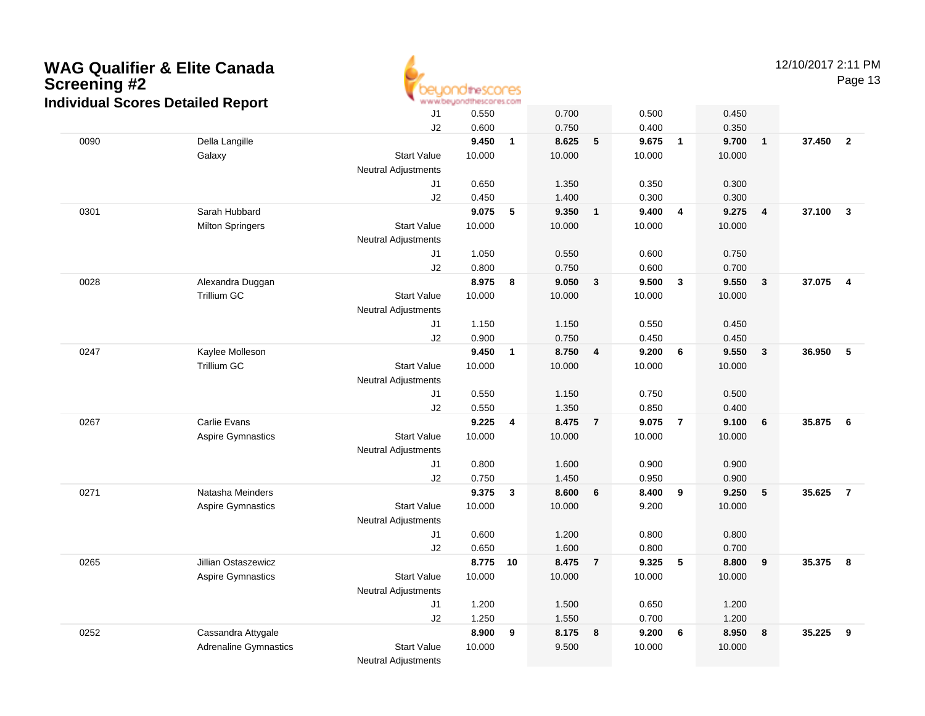

12/10/2017 2:11 PM

Page 13

|      | alvidual occies Detailed Report |                            |                 |              |                 |                |                |                         |                 |                 |        |                 |
|------|---------------------------------|----------------------------|-----------------|--------------|-----------------|----------------|----------------|-------------------------|-----------------|-----------------|--------|-----------------|
|      |                                 | J1                         | 0.550           |              | 0.700           |                | 0.500          |                         | 0.450           |                 |        |                 |
|      |                                 | J2                         | 0.600           |              | 0.750           |                | 0.400          |                         | 0.350           |                 |        |                 |
| 0090 | Della Langille                  |                            | 9.450           | $\mathbf{1}$ | 8.625           | 5              | 9.675          | $\overline{1}$          | 9.700           | $\overline{1}$  | 37.450 | $\overline{2}$  |
|      | Galaxy                          | <b>Start Value</b>         | 10.000          |              | 10.000          |                | 10.000         |                         | 10.000          |                 |        |                 |
|      |                                 | <b>Neutral Adjustments</b> |                 |              |                 |                |                |                         |                 |                 |        |                 |
|      |                                 | J1                         | 0.650           |              | 1.350           |                | 0.350          |                         | 0.300           |                 |        |                 |
|      |                                 | J2                         | 0.450           |              | 1.400           |                | 0.300          |                         | 0.300           |                 |        |                 |
| 0301 | Sarah Hubbard                   |                            | 9.075           | 5            | 9.350           | $\mathbf{1}$   | 9.400          | $\overline{4}$          | 9.275           | $\overline{4}$  | 37.100 | $\mathbf{3}$    |
|      | <b>Milton Springers</b>         | <b>Start Value</b>         | 10.000          |              | 10.000          |                | 10.000         |                         | 10.000          |                 |        |                 |
|      |                                 | <b>Neutral Adjustments</b> |                 |              |                 |                |                |                         |                 |                 |        |                 |
|      |                                 | J1                         | 1.050           |              | 0.550           |                | 0.600          |                         | 0.750           |                 |        |                 |
|      |                                 | J2                         | 0.800           |              | 0.750           |                | 0.600          |                         | 0.700           |                 |        |                 |
| 0028 | Alexandra Duggan                |                            | 8.975           | 8            | 9.050           | $\mathbf{3}$   | 9.500          | $\overline{\mathbf{3}}$ | 9.550           | $\mathbf{3}$    | 37.075 | $\overline{4}$  |
|      | Trillium GC                     | <b>Start Value</b>         | 10.000          |              | 10.000          |                | 10.000         |                         | 10.000          |                 |        |                 |
|      |                                 | <b>Neutral Adjustments</b> |                 |              |                 |                |                |                         |                 |                 |        |                 |
|      |                                 | J1                         | 1.150           |              | 1.150           |                | 0.550          |                         | 0.450           |                 |        |                 |
|      |                                 | J2                         | 0.900           |              | 0.750           |                | 0.450          |                         | 0.450           |                 |        |                 |
| 0247 | Kaylee Molleson                 |                            | 9.450           | $\mathbf{1}$ | 8.750           | $\overline{4}$ | 9.200          | 6                       | 9.550           | $\mathbf{3}$    | 36.950 | 5               |
|      | Trillium GC                     | <b>Start Value</b>         | 10.000          |              | 10.000          |                | 10.000         |                         | 10.000          |                 |        |                 |
|      |                                 | <b>Neutral Adjustments</b> |                 |              |                 |                |                |                         |                 |                 |        |                 |
|      |                                 | J1                         | 0.550           |              | 1.150           |                | 0.750          |                         | 0.500           |                 |        |                 |
|      |                                 | J2                         | 0.550           |              | 1.350           |                | 0.850          |                         | 0.400           |                 |        |                 |
| 0267 | Carlie Evans                    |                            | 9.225           | 4            | 8.475           | $\overline{7}$ | 9.075          | $\overline{7}$          | 9.100           | $\bf 6$         | 35.875 | $6\phantom{1}6$ |
|      | Aspire Gymnastics               | <b>Start Value</b>         | 10.000          |              | 10.000          |                | 10.000         |                         | 10.000          |                 |        |                 |
|      |                                 | <b>Neutral Adjustments</b> |                 |              |                 |                |                |                         |                 |                 |        |                 |
|      |                                 | J1                         | 0.800           |              | 1.600           |                | 0.900          |                         | 0.900           |                 |        |                 |
|      | Natasha Meinders                | J2                         | 0.750           |              | 1.450           |                | 0.950          |                         | 0.900           |                 |        | $\overline{7}$  |
| 0271 |                                 | <b>Start Value</b>         | 9.375<br>10.000 | $\mathbf{3}$ | 8.600<br>10.000 | 6              | 8.400<br>9.200 | $\overline{\mathbf{9}}$ | 9.250<br>10.000 | $5\phantom{.0}$ | 35.625 |                 |
|      | <b>Aspire Gymnastics</b>        | <b>Neutral Adjustments</b> |                 |              |                 |                |                |                         |                 |                 |        |                 |
|      |                                 | J <sub>1</sub>             | 0.600           |              | 1.200           |                | 0.800          |                         | 0.800           |                 |        |                 |
|      |                                 | J2                         | 0.650           |              | 1.600           |                | 0.800          |                         | 0.700           |                 |        |                 |
| 0265 | Jillian Ostaszewicz             |                            | 8.775           | 10           | 8.475           | $\overline{7}$ | 9.325          | 5                       | 8.800           | 9               | 35.375 | 8               |
|      | <b>Aspire Gymnastics</b>        | <b>Start Value</b>         | 10.000          |              | 10.000          |                | 10.000         |                         | 10.000          |                 |        |                 |
|      |                                 | <b>Neutral Adjustments</b> |                 |              |                 |                |                |                         |                 |                 |        |                 |
|      |                                 | J1                         | 1.200           |              | 1.500           |                | 0.650          |                         | 1.200           |                 |        |                 |
|      |                                 | J2                         | 1.250           |              | 1.550           |                | 0.700          |                         | 1.200           |                 |        |                 |
|      | Cassandra Attygale              |                            | 8.900           | 9            | 8.175           | 8              | 9.200          | 6                       | 8.950           | 8               | 35.225 | 9               |
| 0252 | <b>Adrenaline Gymnastics</b>    | <b>Start Value</b>         | 10.000          |              | 9.500           |                | 10.000         |                         | 10.000          |                 |        |                 |
|      |                                 | <b>Neutral Adjustments</b> |                 |              |                 |                |                |                         |                 |                 |        |                 |
|      |                                 |                            |                 |              |                 |                |                |                         |                 |                 |        |                 |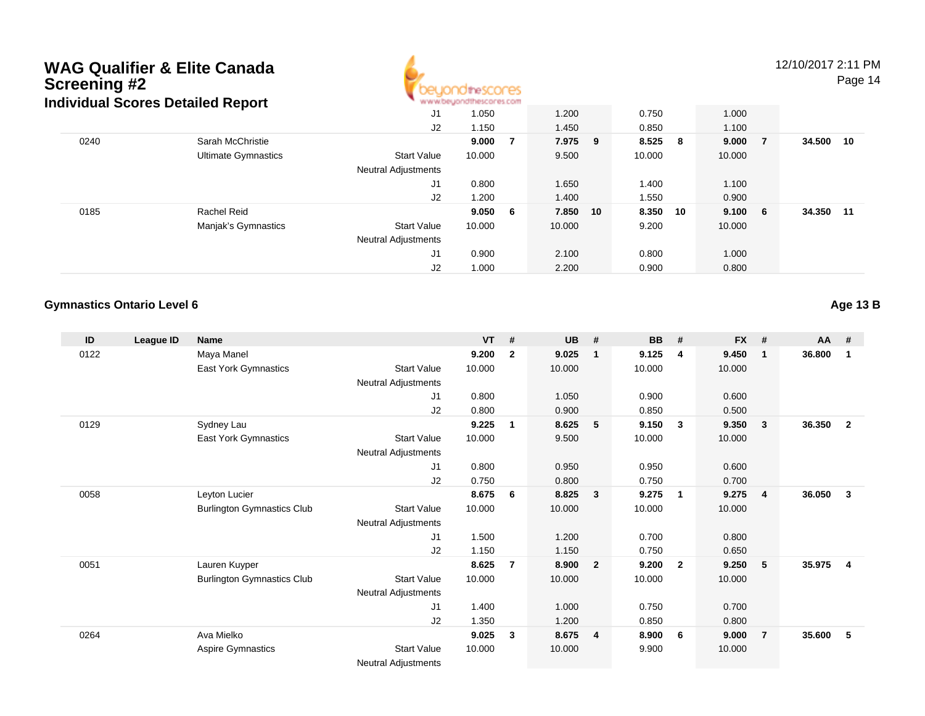

12/10/2017 2:11 PM

Page 14

| idividual JCOI es Detailed Report |                            |                            | An an anyone chose to the second in the model |   |          |  |         |    |        |     |        |    |  |  |  |
|-----------------------------------|----------------------------|----------------------------|-----------------------------------------------|---|----------|--|---------|----|--------|-----|--------|----|--|--|--|
|                                   |                            | J <sub>1</sub>             | 1.050                                         |   | 1.200    |  | 0.750   |    | 1.000  |     |        |    |  |  |  |
|                                   |                            | J <sub>2</sub>             | 1.150                                         |   | 1.450    |  | 0.850   |    | 1.100  |     |        |    |  |  |  |
| 0240                              | Sarah McChristie           |                            | 9.000                                         |   | 7.975 9  |  | 8.525 8 |    | 9.000  | - 7 | 34.500 | 10 |  |  |  |
|                                   | <b>Ultimate Gymnastics</b> | <b>Start Value</b>         | 10.000                                        |   | 9.500    |  | 10.000  |    | 10.000 |     |        |    |  |  |  |
|                                   |                            | <b>Neutral Adjustments</b> |                                               |   |          |  |         |    |        |     |        |    |  |  |  |
|                                   |                            | J1                         | 0.800                                         |   | 1.650    |  | 1.400   |    | 1.100  |     |        |    |  |  |  |
|                                   |                            | J <sub>2</sub>             | 1.200                                         |   | 1.400    |  | 1.550   |    | 0.900  |     |        |    |  |  |  |
| 0185                              | Rachel Reid                |                            | 9.050                                         | 6 | 7.850 10 |  | 8.350   | 10 | 9.100  | - 6 | 34.350 | 11 |  |  |  |
|                                   | Manjak's Gymnastics        | <b>Start Value</b>         | 10.000                                        |   | 10.000   |  | 9.200   |    | 10.000 |     |        |    |  |  |  |
|                                   |                            | <b>Neutral Adjustments</b> |                                               |   |          |  |         |    |        |     |        |    |  |  |  |
|                                   |                            | J <sub>1</sub>             | 0.900                                         |   | 2.100    |  | 0.800   |    | 1.000  |     |        |    |  |  |  |
|                                   |                            | J2                         | 1.000                                         |   | 2.200    |  | 0.900   |    | 0.800  |     |        |    |  |  |  |

### **Gymnastics Ontario Level 6**

**Age 13 B**

| ID   | League ID | <b>Name</b>                       |                            | <b>VT</b> | #              | <b>UB</b> | #                       | <b>BB</b> | #              | <b>FX</b> | #              | $AA$ # |                |
|------|-----------|-----------------------------------|----------------------------|-----------|----------------|-----------|-------------------------|-----------|----------------|-----------|----------------|--------|----------------|
| 0122 |           | Maya Manel                        |                            | 9.200     | $\overline{2}$ | 9.025     | $\mathbf{1}$            | 9.125     | 4              | 9.450     | $\mathbf 1$    | 36.800 | 1              |
|      |           | <b>East York Gymnastics</b>       | <b>Start Value</b>         | 10.000    |                | 10.000    |                         | 10.000    |                | 10.000    |                |        |                |
|      |           |                                   | <b>Neutral Adjustments</b> |           |                |           |                         |           |                |           |                |        |                |
|      |           |                                   | J <sub>1</sub>             | 0.800     |                | 1.050     |                         | 0.900     |                | 0.600     |                |        |                |
|      |           |                                   | J <sub>2</sub>             | 0.800     |                | 0.900     |                         | 0.850     |                | 0.500     |                |        |                |
| 0129 |           | Sydney Lau                        |                            | 9.225     | -1             | 8.625     | 5                       | 9.150     | 3              | 9.350     | 3              | 36.350 | $\overline{2}$ |
|      |           | <b>East York Gymnastics</b>       | <b>Start Value</b>         | 10.000    |                | 9.500     |                         | 10.000    |                | 10.000    |                |        |                |
|      |           |                                   | <b>Neutral Adjustments</b> |           |                |           |                         |           |                |           |                |        |                |
|      |           |                                   | J <sub>1</sub>             | 0.800     |                | 0.950     |                         | 0.950     |                | 0.600     |                |        |                |
|      |           |                                   | J2                         | 0.750     |                | 0.800     |                         | 0.750     |                | 0.700     |                |        |                |
| 0058 |           | Leyton Lucier                     |                            | 8.675     | 6              | 8.825     | $\overline{\mathbf{3}}$ | 9.275     | $\mathbf{1}$   | 9.275     | 4              | 36.050 | -3             |
|      |           | <b>Burlington Gymnastics Club</b> | <b>Start Value</b>         | 10.000    |                | 10.000    |                         | 10.000    |                | 10.000    |                |        |                |
|      |           |                                   | <b>Neutral Adjustments</b> |           |                |           |                         |           |                |           |                |        |                |
|      |           |                                   | J <sub>1</sub>             | 1.500     |                | 1.200     |                         | 0.700     |                | 0.800     |                |        |                |
|      |           |                                   | J <sub>2</sub>             | 1.150     |                | 1.150     |                         | 0.750     |                | 0.650     |                |        |                |
| 0051 |           | Lauren Kuyper                     |                            | 8.625     | $\overline{7}$ | 8.900     | $\overline{\mathbf{2}}$ | 9.200     | $\overline{2}$ | 9.250     | 5              | 35.975 | $\overline{4}$ |
|      |           | <b>Burlington Gymnastics Club</b> | <b>Start Value</b>         | 10.000    |                | 10.000    |                         | 10.000    |                | 10.000    |                |        |                |
|      |           |                                   | <b>Neutral Adjustments</b> |           |                |           |                         |           |                |           |                |        |                |
|      |           |                                   | J <sub>1</sub>             | 1.400     |                | 1.000     |                         | 0.750     |                | 0.700     |                |        |                |
|      |           |                                   | J <sub>2</sub>             | 1.350     |                | 1.200     |                         | 0.850     |                | 0.800     |                |        |                |
| 0264 |           | Ava Mielko                        |                            | 9.025     | 3              | 8.675     | $\overline{4}$          | 8.900     | 6              | 9.000     | $\overline{7}$ | 35.600 | 5              |
|      |           | Aspire Gymnastics                 | <b>Start Value</b>         | 10.000    |                | 10.000    |                         | 9.900     |                | 10.000    |                |        |                |
|      |           |                                   | <b>Neutral Adjustments</b> |           |                |           |                         |           |                |           |                |        |                |